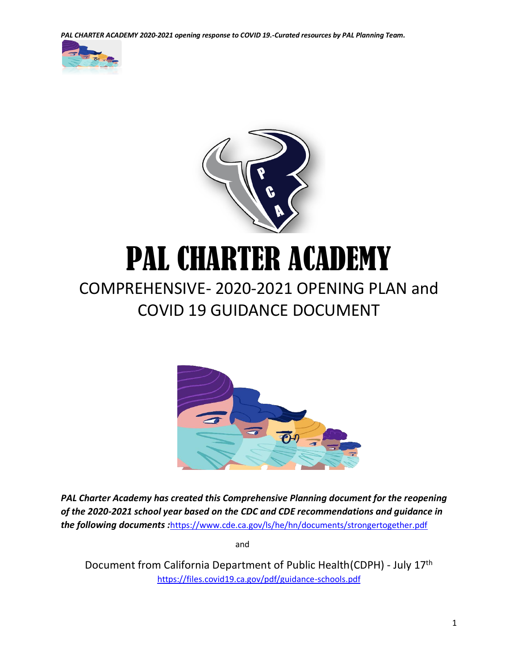*PAL CHARTER ACADEMY 2020-2021 opening response to COVID 19.-Curated resources by PAL Planning Team.*





# PAL CHARTER ACADEMY

# COMPREHENSIVE- 2020-2021 OPENING PLAN and COVID 19 GUIDANCE DOCUMENT



*PAL Charter Academy has created this Comprehensive Planning document for the reopening of the 2020-2021 school year based on the CDC and CDE recommendations and guidance in the following documents :*<https://www.cde.ca.gov/ls/he/hn/documents/strongertogether.pdf>

and the contract of the contract of the contract of the contract of the contract of the contract of the contract of the contract of the contract of the contract of the contract of the contract of the contract of the contra

Document from California Department of Public Health(CDPH) - July 17th <https://files.covid19.ca.gov/pdf/guidance-schools.pdf>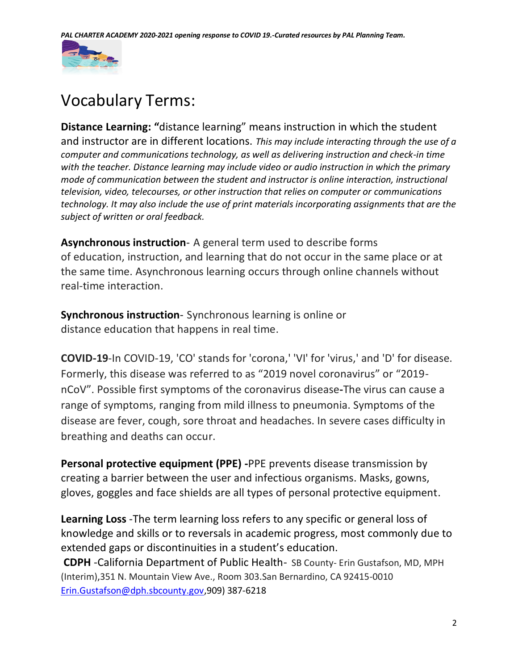

# Vocabulary Terms:

**Distance Learning: "**distance learning" means instruction in which the student and instructor are in different locations. *This may include interacting through the use of a computer and communications technology, as well as delivering instruction and check-in time with the teacher. Distance learning may include video or audio instruction in which the primary mode of communication between the student and instructor is online interaction, instructional television, video, telecourses, or other instruction that relies on computer or communications technology. It may also include the use of print materials incorporating assignments that are the subject of written or oral feedback.* 

**Asynchronous instruction**- A general term used to describe forms of education, instruction, and learning that do not occur in the same place or at the same time. Asynchronous learning occurs through online channels without real-time interaction.

**Synchronous instruction**- Synchronous learning is online or distance education that happens in real time.

**COVID-19**-In COVID-19, 'CO' stands for 'corona,' 'VI' for 'virus,' and 'D' for disease. Formerly, this disease was referred to as "2019 novel coronavirus" or "2019 nCoV". Possible first symptoms of the coronavirus disease**-**The virus can cause a range of symptoms, ranging from mild illness to pneumonia. Symptoms of the disease are fever, cough, sore throat and headaches. In severe cases difficulty in breathing and deaths can occur.

**Personal protective equipment (PPE) -**PPE prevents disease transmission by creating a barrier between the user and infectious organisms. Masks, gowns, gloves, goggles and face shields are all types of personal protective equipment.

**Learning Loss** -The term learning loss refers to any specific or general loss of knowledge and skills or to reversals in academic progress, most commonly due to extended gaps or discontinuities in a student's education.

**CDPH** -California Department of Public Health- SB County- Erin Gustafson, MD, MPH (Interim),351 N. Mountain View Ave., Room 303.San Bernardino, CA 92415-0010 [Erin.Gustafson@dph.sbcounty.gov,](mailto:Erin.Gustafson@dph.sbcounty.gov)909) 387-6218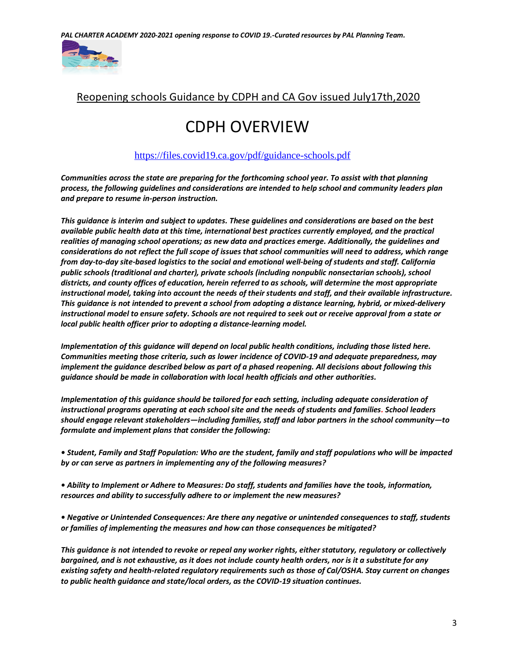

### Reopening schools Guidance by CDPH and CA Gov issued July17th,2020

# CDPH OVERVIEW

#### <https://files.covid19.ca.gov/pdf/guidance-schools.pdf>

*Communities across the state are preparing for the forthcoming school year. To assist with that planning process, the following guidelines and considerations are intended to help school and community leaders plan and prepare to resume in-person instruction.*

*This guidance is interim and subject to updates. These guidelines and considerations are based on the best available public health data at this time, international best practices currently employed, and the practical realities of managing school operations; as new data and practices emerge. Additionally, the guidelines and considerations do not reflect the full scope of issues that school communities will need to address, which range from day-to-day site-based logistics to the social and emotional well-being of students and staff. California public schools (traditional and charter), private schools (including nonpublic nonsectarian schools), school districts, and county offices of education, herein referred to as schools, will determine the most appropriate instructional model, taking into account the needs of their students and staff, and their available infrastructure. This guidance is not intended to prevent a school from adopting a distance learning, hybrid, or mixed-delivery instructional model to ensure safety. Schools are not required to seek out or receive approval from a state or local public health officer prior to adopting a distance-learning model.*

*Implementation of this guidance will depend on local public health conditions, including those listed here. Communities meeting those criteria, such as lower incidence of COVID-19 and adequate preparedness, may implement the guidance described below as part of a phased reopening. All decisions about following this guidance should be made in collaboration with local health officials and other authorities.*

*Implementation of this guidance should be tailored for each setting, including adequate consideration of instructional programs operating at each school site and the needs of students and families. School leaders should engage relevant stakeholders—including families, staff and labor partners in the school community—to formulate and implement plans that consider the following:*

*• Student, Family and Staff Population: Who are the student, family and staff populations who will be impacted by or can serve as partners in implementing any of the following measures?*

*• Ability to Implement or Adhere to Measures: Do staff, students and families have the tools, information, resources and ability to successfully adhere to or implement the new measures?*

*• Negative or Unintended Consequences: Are there any negative or unintended consequences to staff, students or families of implementing the measures and how can those consequences be mitigated?*

*This guidance is not intended to revoke or repeal any worker rights, either statutory, regulatory or collectively bargained, and is not exhaustive, as it does not include county health orders, nor is it a substitute for any existing safety and health-related regulatory requirements such as those of Cal/OSHA. Stay current on changes to public health guidance and state/local orders, as the COVID-19 situation continues.*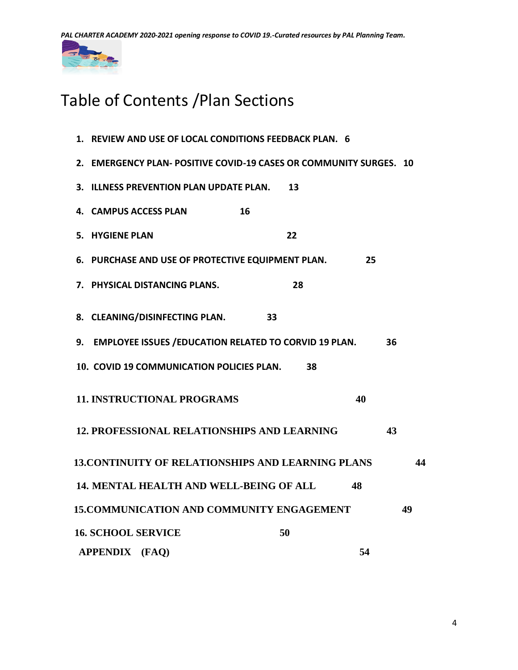*PAL CHARTER ACADEMY 2020-2021 opening response to COVID 19.-Curated resources by PAL Planning Team.*



# Table of Contents /Plan Sections

|  |                           | 1. REVIEW AND USE OF LOCAL CONDITIONS FEEDBACK PLAN. 6             |  |                             |    |    |    |    |
|--|---------------------------|--------------------------------------------------------------------|--|-----------------------------|----|----|----|----|
|  |                           | 2. EMERGENCY PLAN- POSITIVE COVID-19 CASES OR COMMUNITY SURGES. 10 |  |                             |    |    |    |    |
|  |                           | 3. ILLNESS PREVENTION PLAN UPDATE PLAN.                            |  |                             | 13 |    |    |    |
|  |                           | 4. CAMPUS ACCESS PLAN                                              |  | 16                          |    |    |    |    |
|  | 5. HYGIENE PLAN           |                                                                    |  |                             | 22 |    |    |    |
|  |                           | 6. PURCHASE AND USE OF PROTECTIVE EQUIPMENT PLAN.                  |  |                             |    | 25 |    |    |
|  |                           | 7. PHYSICAL DISTANCING PLANS.                                      |  |                             | 28 |    |    |    |
|  |                           | 8. CLEANING/DISINFECTING PLAN.                                     |  | $\overline{\phantom{1}}$ 33 |    |    |    |    |
|  |                           | 9. EMPLOYEE ISSUES / EDUCATION RELATED TO CORVID 19 PLAN.          |  |                             |    |    | 36 |    |
|  |                           | 10. COVID 19 COMMUNICATION POLICIES PLAN.                          |  |                             | 38 |    |    |    |
|  |                           | <b>11. INSTRUCTIONAL PROGRAMS</b>                                  |  |                             |    | 40 |    |    |
|  |                           | <b>12. PROFESSIONAL RELATIONSHIPS AND LEARNING</b>                 |  |                             |    |    | 43 |    |
|  |                           | <b>13. CONTINUITY OF RELATIONSHIPS AND LEARNING PLANS</b>          |  |                             |    |    |    | 44 |
|  |                           | <b>14. MENTAL HEALTH AND WELL-BEING OF ALL</b>                     |  |                             |    | 48 |    |    |
|  |                           | <b>15. COMMUNICATION AND COMMUNITY ENGAGEMENT</b>                  |  |                             |    |    |    | 49 |
|  | <b>16. SCHOOL SERVICE</b> |                                                                    |  |                             | 50 |    |    |    |
|  | <b>APPENDIX</b>           | (FAQ)                                                              |  |                             |    | 54 |    |    |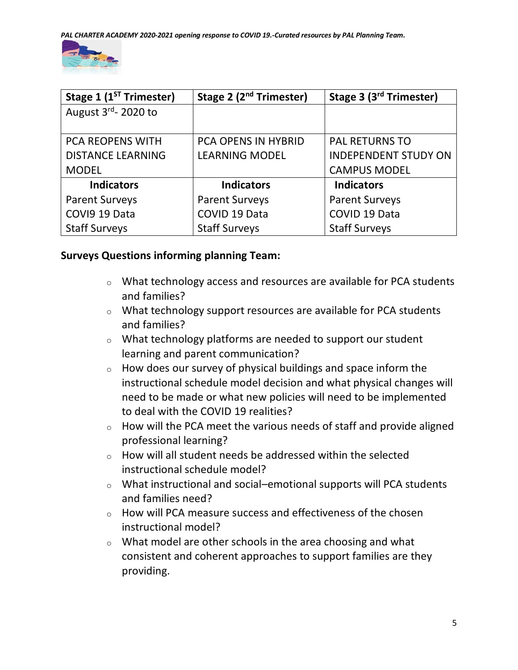

| Stage 1 (1 <sup>ST</sup> Trimester) | Stage 2 (2 <sup>nd</sup> Trimester) | Stage 3 (3 <sup>rd</sup> Trimester) |
|-------------------------------------|-------------------------------------|-------------------------------------|
| August 3rd-2020 to                  |                                     |                                     |
|                                     |                                     |                                     |
| <b>PCA REOPENS WITH</b>             | <b>PCA OPENS IN HYBRID</b>          | <b>PAL RETURNS TO</b>               |
| <b>DISTANCE LEARNING</b>            | <b>LEARNING MODEL</b>               | <b>INDEPENDENT STUDY ON</b>         |
| <b>MODEL</b>                        |                                     | <b>CAMPUS MODEL</b>                 |
| <b>Indicators</b>                   | <b>Indicators</b>                   | <b>Indicators</b>                   |
| <b>Parent Surveys</b>               | <b>Parent Surveys</b>               | <b>Parent Surveys</b>               |
| COVI9 19 Data                       | COVID 19 Data                       | COVID 19 Data                       |
| <b>Staff Surveys</b>                | <b>Staff Surveys</b>                | <b>Staff Surveys</b>                |

### **Surveys Questions informing planning Team:**

- $\circ$  What technology access and resources are available for PCA students and families?
- o What technology support resources are available for PCA students and families?
- o What technology platforms are needed to support our student learning and parent communication?
- o How does our survey of physical buildings and space inform the instructional schedule model decision and what physical changes will need to be made or what new policies will need to be implemented to deal with the COVID 19 realities?
- $\circ$  How will the PCA meet the various needs of staff and provide aligned professional learning?
- o How will all student needs be addressed within the selected instructional schedule model?
- o What instructional and social–emotional supports will PCA students and families need?
- $\circ$  How will PCA measure success and effectiveness of the chosen instructional model?
- $\circ$  What model are other schools in the area choosing and what consistent and coherent approaches to support families are they providing.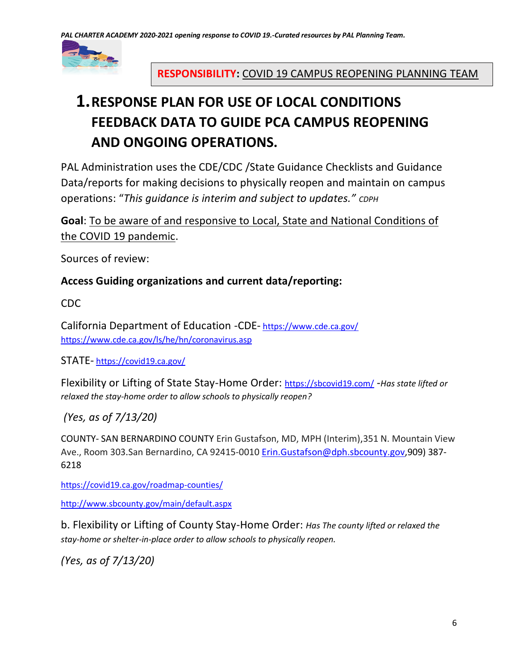

# **RESPONSIBILITY:** COVID 19 CAMPUS REOPENING PLANNING TEAM

# **1.RESPONSE PLAN FOR USE OF LOCAL CONDITIONS FEEDBACK DATA TO GUIDE PCA CAMPUS REOPENING AND ONGOING OPERATIONS.**

PAL Administration uses the CDE/CDC /State Guidance Checklists and Guidance Data/reports for making decisions to physically reopen and maintain on campus operations: "*This guidance is interim and subject to updates." CDPH*

**Goal**: To be aware of and responsive to Local, State and National Conditions of the COVID 19 pandemic.

Sources of review:

### **Access Guiding organizations and current data/reporting:**

CDC

California Department of Education -CDE- <https://www.cde.ca.gov/> <https://www.cde.ca.gov/ls/he/hn/coronavirus.asp>

STATE- <https://covid19.ca.gov/>

Flexibility or Lifting of State Stay-Home Order: <https://sbcovid19.com/> -*Has state lifted or relaxed the stay-home order to allow schools to physically reopen?*

*(Yes, as of 7/13/20)*

COUNTY- SAN BERNARDINO COUNTY Erin Gustafson, MD, MPH (Interim),351 N. Mountain View Ave., Room 303.San Bernardino, CA 92415-0010 [Erin.Gustafson@dph.sbcounty.gov,](mailto:Erin.Gustafson@dph.sbcounty.gov)909) 387- 6218

<https://covid19.ca.gov/roadmap-counties/>

<http://www.sbcounty.gov/main/default.aspx>

b. Flexibility or Lifting of County Stay-Home Order: *Has The county lifted or relaxed the stay-home or shelter-in-place order to allow schools to physically reopen.*

*(Yes, as of 7/13/20)*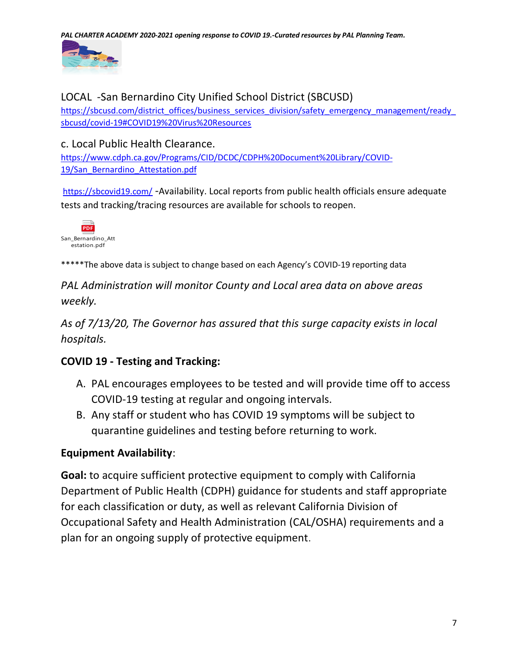*PAL CHARTER ACADEMY 2020-2021 opening response to COVID 19.-Curated resources by PAL Planning Team.*



# LOCAL -San Bernardino City Unified School District (SBCUSD)

https://sbcusd.com/district\_offices/business\_services\_division/safety\_emergency\_management/ready [sbcusd/covid-19#COVID19%20Virus%20Resources](https://sbcusd.com/district_offices/business_services_division/safety_emergency_management/ready_sbcusd/covid-19#COVID19%20Virus%20Resources)

### c. Local Public Health Clearance.

[https://www.cdph.ca.gov/Programs/CID/DCDC/CDPH%20Document%20Library/COVID-](https://www.cdph.ca.gov/Programs/CID/DCDC/CDPH%20Document%20Library/COVID-19/San_Bernardino_Attestation.pdf)[19/San\\_Bernardino\\_Attestation.pdf](https://www.cdph.ca.gov/Programs/CID/DCDC/CDPH%20Document%20Library/COVID-19/San_Bernardino_Attestation.pdf)

<https://sbcovid19.com/> -Availability. Local reports from public health officials ensure adequate tests and tracking/tracing resources are available for schools to reopen.



\*\*\*\*\*The above data is subject to change based on each Agency's COVID-19 reporting data

*PAL Administration will monitor County and Local area data on above areas weekly.*

*As of 7/13/20, The Governor has assured that this surge capacity exists in local hospitals.*

# **COVID 19 - Testing and Tracking:**

- A. PAL encourages employees to be tested and will provide time off to access COVID-19 testing at regular and ongoing intervals.
- B. Any staff or student who has COVID 19 symptoms will be subject to quarantine guidelines and testing before returning to work.

# **Equipment Availability**:

**Goal:** to acquire sufficient protective equipment to comply with California Department of Public Health (CDPH) guidance for students and staff appropriate for each classification or duty, as well as relevant California Division of Occupational Safety and Health Administration (CAL/OSHA) requirements and a plan for an ongoing supply of protective equipment.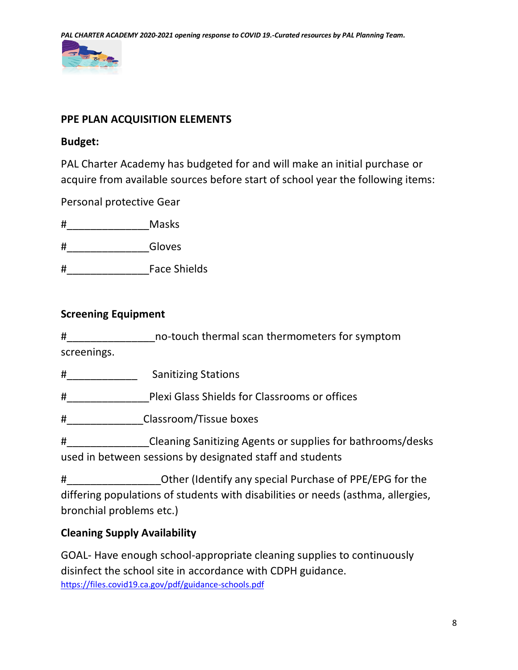

### **PPE PLAN ACQUISITION ELEMENTS**

### **Budget:**

PAL Charter Academy has budgeted for and will make an initial purchase or acquire from available sources before start of school year the following items:

Personal protective Gear

#\_\_\_\_\_\_\_\_\_\_\_\_\_\_Masks

#\_\_\_\_\_\_\_\_\_\_\_\_\_\_Gloves

#\_\_\_\_\_\_\_\_\_\_\_\_\_\_Face Shields

### **Screening Equipment**

#\_\_\_\_\_\_\_\_\_\_\_\_\_\_\_no-touch thermal scan thermometers for symptom screenings.

#\_\_\_\_\_\_\_\_\_\_\_\_ Sanitizing Stations

#\_\_\_\_\_\_\_\_\_\_\_\_\_\_Plexi Glass Shields for Classrooms or offices

#\_\_\_\_\_\_\_\_\_\_\_\_\_Classroom/Tissue boxes

#\_\_\_\_\_\_\_\_\_\_\_\_\_\_Cleaning Sanitizing Agents or supplies for bathrooms/desks used in between sessions by designated staff and students

#\_\_\_\_\_\_\_\_\_\_\_\_\_\_\_\_Other (Identify any special Purchase of PPE/EPG for the differing populations of students with disabilities or needs (asthma, allergies, bronchial problems etc.)

# **Cleaning Supply Availability**

GOAL- Have enough school-appropriate cleaning supplies to continuously disinfect the school site in accordance with CDPH guidance. <https://files.covid19.ca.gov/pdf/guidance-schools.pdf>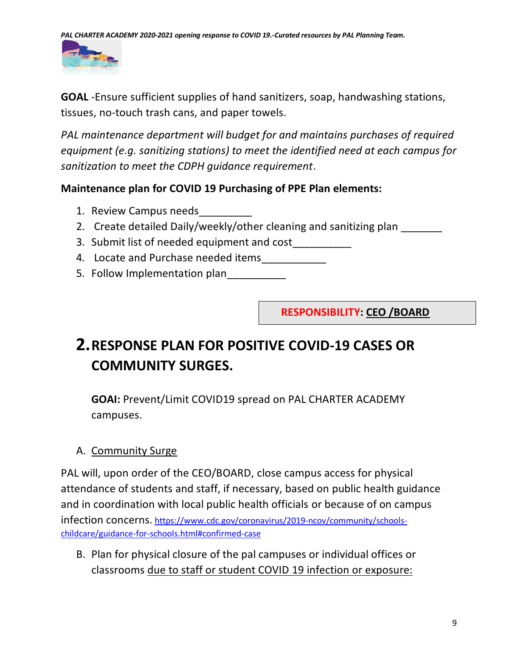

**GOAL** -Ensure sufficient supplies of hand sanitizers, soap, handwashing stations, tissues, no-touch trash cans, and paper towels.

*PAL maintenance department will budget for and maintains purchases of required equipment (e.g. sanitizing stations) to meet the identified need at each campus for sanitization to meet the CDPH guidance requirement*.

# **Maintenance plan for COVID 19 Purchasing of PPE Plan elements:**

- 1. Review Campus needs
- 2. Create detailed Daily/weekly/other cleaning and sanitizing plan
- 3. Submit list of needed equipment and cost\_\_\_\_\_\_\_\_\_\_
- 4. Locate and Purchase needed items
- 5. Follow Implementation plan\_\_\_\_\_\_\_\_\_

 **RESPONSIBILITY: CEO /BOARD**

# **2.RESPONSE PLAN FOR POSITIVE COVID-19 CASES OR COMMUNITY SURGES.**

**GOAI:** Prevent/Limit COVID19 spread on PAL CHARTER ACADEMY campuses.

# A. Community Surge

PAL will, upon order of the CEO/BOARD, close campus access for physical attendance of students and staff, if necessary, based on public health guidance and in coordination with local public health officials or because of on campus infection concerns. [https://www.cdc.gov/coronavirus/2019-ncov/community/schools](https://www.cdc.gov/coronavirus/2019-ncov/community/schools-childcare/guidance-for-schools.html#confirmed-case)[childcare/guidance-for-schools.html#confirmed-case](https://www.cdc.gov/coronavirus/2019-ncov/community/schools-childcare/guidance-for-schools.html#confirmed-case)

B. Plan for physical closure of the pal campuses or individual offices or classrooms due to staff or student COVID 19 infection or exposure: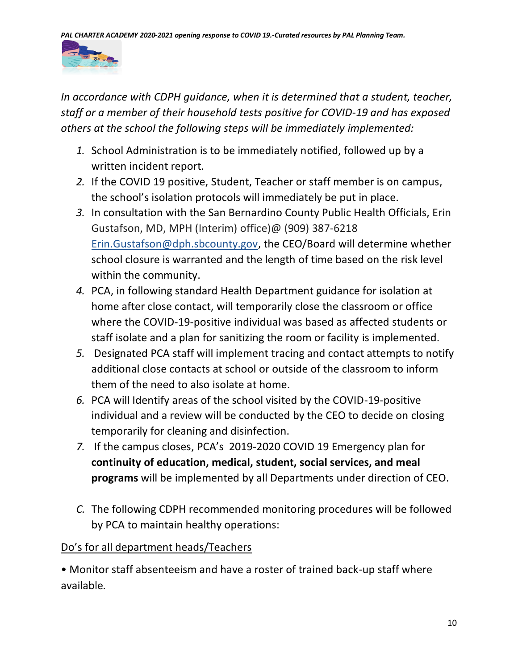

*In accordance with CDPH guidance, when it is determined that a student, teacher, staff or a member of their household tests positive for COVID-19 and has exposed others at the school the following steps will be immediately implemented:*

- *1.* School Administration is to be immediately notified, followed up by a written incident report.
- *2.* If the COVID 19 positive, Student, Teacher or staff member is on campus, the school's isolation protocols will immediately be put in place.
- *3.* In consultation with the San Bernardino County Public Health Officials, Erin Gustafson, MD, MPH (Interim) office)@ (909) 387-6218 [Erin.Gustafson@dph.sbcounty.gov,](mailto:Erin.Gustafson@dph.sbcounty.gov) the CEO/Board will determine whether school closure is warranted and the length of time based on the risk level within the community.
- *4.* PCA, in following standard Health Department guidance for isolation at home after close contact, will temporarily close the classroom or office where the COVID-19-positive individual was based as affected students or staff isolate and a plan for sanitizing the room or facility is implemented.
- *5.* Designated PCA staff will implement tracing and contact attempts to notify additional close contacts at school or outside of the classroom to inform them of the need to also isolate at home.
- *6.* PCA will Identify areas of the school visited by the COVID-19-positive individual and a review will be conducted by the CEO to decide on closing temporarily for cleaning and disinfection.
- *7.* If the campus closes, PCA's 2019-2020 COVID 19 Emergency plan for **continuity of education, medical, student, social services, and meal programs** will be implemented by all Departments under direction of CEO.
- *C.* The following CDPH recommended monitoring procedures will be followed by PCA to maintain healthy operations:

# Do's for all department heads/Teachers

• Monitor staff absenteeism and have a roster of trained back-up staff where available*.*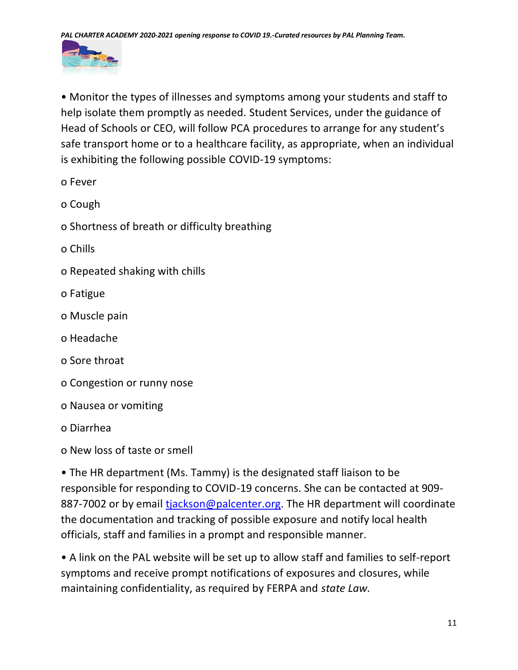

• Monitor the types of illnesses and symptoms among your students and staff to help isolate them promptly as needed. Student Services, under the guidance of Head of Schools or CEO, will follow PCA procedures to arrange for any student's safe transport home or to a healthcare facility, as appropriate, when an individual is exhibiting the following possible COVID-19 symptoms:

- o Fever
- o Cough
- o Shortness of breath or difficulty breathing
- o Chills
- o Repeated shaking with chills
- o Fatigue
- o Muscle pain
- o Headache
- o Sore throat
- o Congestion or runny nose
- o Nausea or vomiting
- o Diarrhea
- o New loss of taste or smell

• The HR department (Ms. Tammy) is the designated staff liaison to be responsible for responding to COVID-19 concerns. She can be contacted at 909 887-7002 or by email [tjackson@palcenter.org.](mailto:tjackson@palcenter.org) The HR department will coordinate the documentation and tracking of possible exposure and notify local health officials, staff and families in a prompt and responsible manner.

• A link on the PAL website will be set up to allow staff and families to self-report symptoms and receive prompt notifications of exposures and closures, while maintaining confidentiality, as required by FERPA and *state Law.*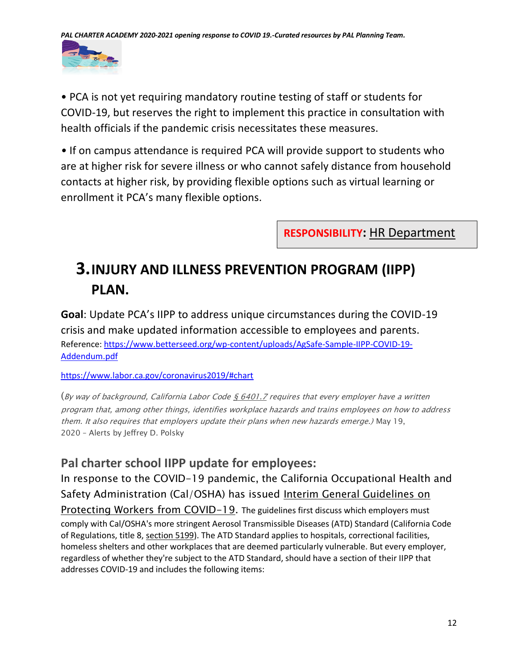

• PCA is not yet requiring mandatory routine testing of staff or students for COVID-19, but reserves the right to implement this practice in consultation with health officials if the pandemic crisis necessitates these measures.

*•* If on campus attendance is required PCA will provide support to students who are at higher risk for severe illness or who cannot safely distance from household contacts at higher risk, by providing flexible options such as virtual learning or enrollment it PCA's many flexible options.

**RESPONSIBILITY:** HR Department

# **3.INJURY AND ILLNESS PREVENTION PROGRAM (IIPP) PLAN.**

**Goal**: Update PCA's IIPP to address unique circumstances during the COVID-19 crisis and make updated information accessible to employees and parents. Reference: [https://www.betterseed.org/wp-content/uploads/AgSafe-Sample-IIPP-COVID-19-](https://www.betterseed.org/wp-content/uploads/AgSafe-Sample-IIPP-COVID-19-Addendum.pdf) [Addendum.pdf](https://www.betterseed.org/wp-content/uploads/AgSafe-Sample-IIPP-COVID-19-Addendum.pdf)

<https://www.labor.ca.gov/coronavirus2019/#chart>

(By way of background, California Labor Code  $\frac{6}{5}$  6401.7 requires that every employer have a written program that, among other things, identifies workplace hazards and trains employees on how to address them. It also requires that employers update their plans when new hazards emerge.) May 19, 2020 – Alerts by Jeffrey D. Polsky

# **Pal charter school IIPP update for employees:**

In response to the COVID-19 pandemic, the California Occupational Health and Safety Administration (Cal/OSHA) has issued [Interim General Guidelines on](https://www.dir.ca.gov/dosh/coronavirus/General-Industry.html)  [Protecting Workers from COVID-19.](https://www.dir.ca.gov/dosh/coronavirus/General-Industry.html) The guidelines first discuss which employers must comply with Cal/OSHA's more stringent Aerosol Transmissible Diseases (ATD) Standard (California Code of Regulations, title 8, [section 5199\)](https://www.dir.ca.gov/title8/5199.html). The ATD Standard applies to hospitals, correctional facilities, homeless shelters and other workplaces that are deemed particularly vulnerable. But every employer, regardless of whether they're subject to the ATD Standard, should have a section of their IIPP that addresses COVID-19 and includes the following items: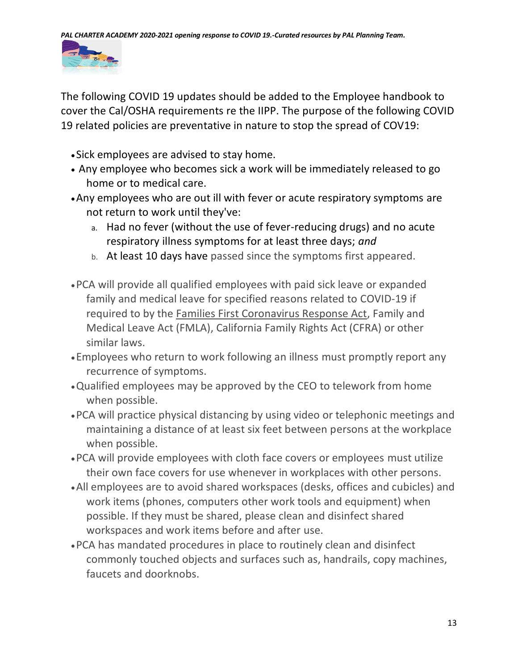

The following COVID 19 updates should be added to the Employee handbook to cover the Cal/OSHA requirements re the IIPP. The purpose of the following COVID 19 related policies are preventative in nature to stop the spread of COV19:

- Sick employees are advised to stay home.
- Any employee who becomes sick a work will be immediately released to go home or to medical care.
- •Any employees who are out ill with fever or acute respiratory symptoms are not return to work until they've:
	- a. Had no fever (without the use of fever-reducing drugs) and no acute respiratory illness symptoms for at least three days; *and*
	- b. At least 10 days have passed since the symptoms first appeared.
- •PCA will provide all qualified employees with paid sick leave or expanded family and medical leave for specified reasons related to COVID-19 if required to by the [Families First Coronavirus Response Act,](https://www.dol.gov/agencies/whd/pandemic/ffcra-employee-paid-leave) Family and Medical Leave Act (FMLA), California Family Rights Act (CFRA) or other similar laws.
- •Employees who return to work following an illness must promptly report any recurrence of symptoms.
- •Qualified employees may be approved by the CEO to telework from home when possible.
- •PCA will practice physical distancing by using video or telephonic meetings and maintaining a distance of at least six feet between persons at the workplace when possible.
- •PCA will provide employees with cloth face covers or employees must utilize their own face covers for use whenever in workplaces with other persons.
- •All employees are to avoid shared workspaces (desks, offices and cubicles) and work items (phones, computers other work tools and equipment) when possible. If they must be shared, please clean and disinfect shared workspaces and work items before and after use.
- •PCA has mandated procedures in place to routinely clean and disinfect commonly touched objects and surfaces such as, handrails, copy machines, faucets and doorknobs.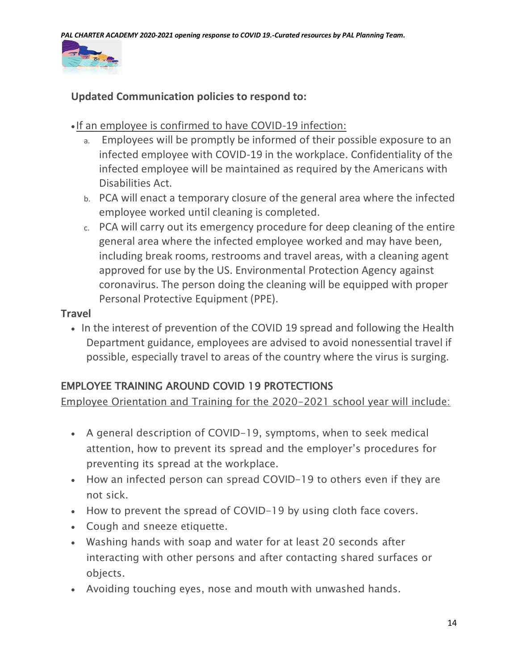

### **Updated Communication policies to respond to:**

### • If an employee is confirmed to have COVID-19 infection:

- a. Employees will be promptly be informed of their possible exposure to an infected employee with COVID-19 in the workplace. Confidentiality of the infected employee will be maintained as required by the Americans with Disabilities Act.
- b. PCA will enact a temporary closure of the general area where the infected employee worked until cleaning is completed.
- c. PCA will carry out its emergency procedure for deep cleaning of the entire general area where the infected employee worked and may have been, including break rooms, restrooms and travel areas, with a cleaning agent approved for use by the US. Environmental Protection Agency against coronavirus. The person doing the cleaning will be equipped with proper Personal Protective Equipment (PPE).

### **Travel**

• In the interest of prevention of the COVID 19 spread and following the Health Department guidance, employees are advised to avoid nonessential travel if possible, especially travel to areas of the country where the virus is surging.

# EMPLOYEE TRAINING AROUND COVID 19 PROTECTIONS

Employee Orientation and Training for the 2020-2021 school year will include:

- A general description of COVID-19, symptoms, when to seek medical attention, how to prevent its spread and the employer's procedures for preventing its spread at the workplace.
- How an infected person can spread COVID-19 to others even if they are not sick.
- How to prevent the spread of COVID-19 by using cloth face covers.
- Cough and sneeze etiquette.
- Washing hands with soap and water for at least 20 seconds after interacting with other persons and after contacting shared surfaces or objects.
- Avoiding touching eyes, nose and mouth with unwashed hands.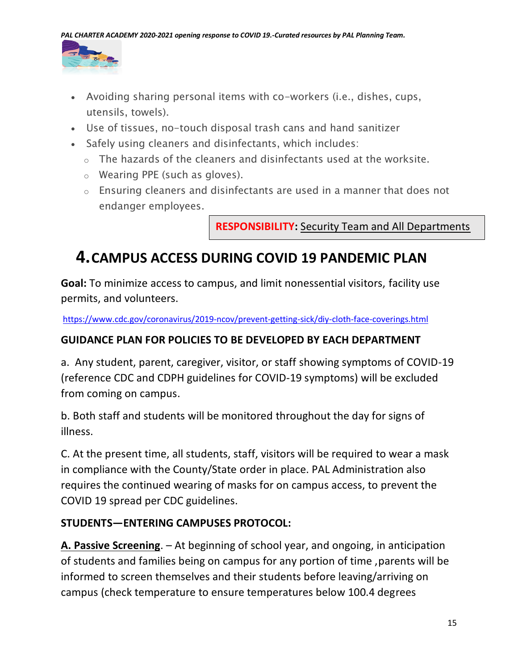

- Avoiding sharing personal items with co-workers (i.e., dishes, cups, utensils, towels).
- Use of tissues, no-touch disposal trash cans and hand sanitizer
- Safely using cleaners and disinfectants, which includes:
	- $\circ$  The hazards of the cleaners and disinfectants used at the worksite.
	- o Wearing PPE (such as gloves).
	- o Ensuring cleaners and disinfectants are used in a manner that does not endanger employees.

**RESPONSIBILITY:** Security Team and All Departments

# **4.CAMPUS ACCESS DURING COVID 19 PANDEMIC PLAN**

**Goal:** To minimize access to campus, and limit nonessential visitors, facility use permits, and volunteers.

<https://www.cdc.gov/coronavirus/2019-ncov/prevent-getting-sick/diy-cloth-face-coverings.html>

### **GUIDANCE PLAN FOR POLICIES TO BE DEVELOPED BY EACH DEPARTMENT**

a. Any student, parent, caregiver, visitor, or staff showing symptoms of COVID-19 (reference CDC and CDPH guidelines for COVID-19 symptoms) will be excluded from coming on campus.

b. Both staff and students will be monitored throughout the day for signs of illness.

C. At the present time, all students, staff, visitors will be required to wear a mask in compliance with the County/State order in place. PAL Administration also requires the continued wearing of masks for on campus access, to prevent the COVID 19 spread per CDC guidelines.

# **STUDENTS—ENTERING CAMPUSES PROTOCOL:**

**A. Passive Screening**. – At beginning of school year, and ongoing, in anticipation of students and families being on campus for any portion of time ,parents will be informed to screen themselves and their students before leaving/arriving on campus (check temperature to ensure temperatures below 100.4 degrees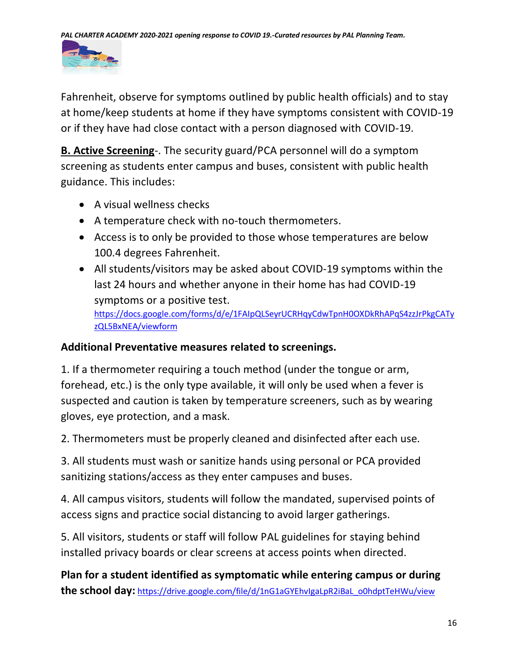

Fahrenheit, observe for symptoms outlined by public health officials) and to stay at home/keep students at home if they have symptoms consistent with COVID-19 or if they have had close contact with a person diagnosed with COVID-19.

**B. Active Screening**-. The security guard/PCA personnel will do a symptom screening as students enter campus and buses, consistent with public health guidance. This includes:

- A visual wellness checks
- A temperature check with no-touch thermometers.
- Access is to only be provided to those whose temperatures are below 100.4 degrees Fahrenheit.
- All students/visitors may be asked about COVID-19 symptoms within the last 24 hours and whether anyone in their home has had COVID-19 symptoms or a positive test.

[https://docs.google.com/forms/d/e/1FAIpQLSeyrUCRHqyCdwTpnH0OXDkRhAPqS4zzJrPkgCATy](https://docs.google.com/forms/d/e/1FAIpQLSeyrUCRHqyCdwTpnH0OXDkRhAPqS4zzJrPkgCATyzQL5BxNEA/viewform) [zQL5BxNEA/viewform](https://docs.google.com/forms/d/e/1FAIpQLSeyrUCRHqyCdwTpnH0OXDkRhAPqS4zzJrPkgCATyzQL5BxNEA/viewform)

### **Additional Preventative measures related to screenings.**

1. If a thermometer requiring a touch method (under the tongue or arm, forehead, etc.) is the only type available, it will only be used when a fever is suspected and caution is taken by temperature screeners, such as by wearing gloves, eye protection, and a mask.

2. Thermometers must be properly cleaned and disinfected after each use.

3. All students must wash or sanitize hands using personal or PCA provided sanitizing stations/access as they enter campuses and buses.

4. All campus visitors, students will follow the mandated, supervised points of access signs and practice social distancing to avoid larger gatherings.

5. All visitors, students or staff will follow PAL guidelines for staying behind installed privacy boards or clear screens at access points when directed.

**Plan for a student identified as symptomatic while entering campus or during the school day:** [https://drive.google.com/file/d/1nG1aGYEhvIgaLpR2iBaL\\_o0hdptTeHWu/view](https://drive.google.com/file/d/1nG1aGYEhvIgaLpR2iBaL_o0hdptTeHWu/view)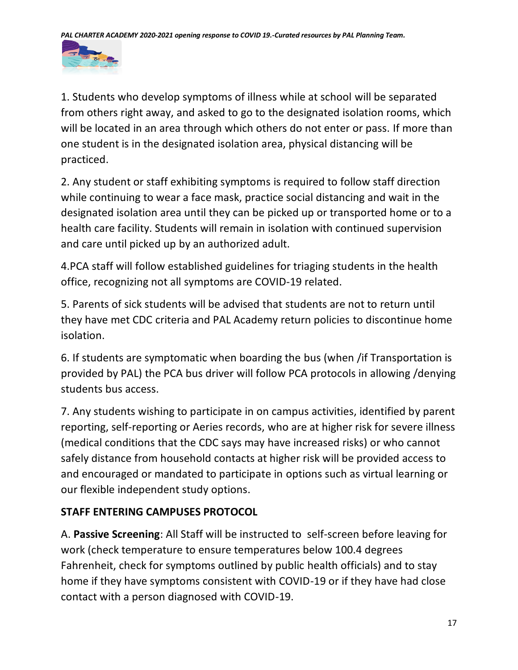

1. Students who develop symptoms of illness while at school will be separated from others right away, and asked to go to the designated isolation rooms, which will be located in an area through which others do not enter or pass. If more than one student is in the designated isolation area, physical distancing will be practiced.

2. Any student or staff exhibiting symptoms is required to follow staff direction while continuing to wear a face mask, practice social distancing and wait in the designated isolation area until they can be picked up or transported home or to a health care facility. Students will remain in isolation with continued supervision and care until picked up by an authorized adult.

4.PCA staff will follow established guidelines for triaging students in the health office, recognizing not all symptoms are COVID-19 related.

5. Parents of sick students will be advised that students are not to return until they have met CDC criteria and PAL Academy return policies to discontinue home isolation.

6. If students are symptomatic when boarding the bus (when /if Transportation is provided by PAL) the PCA bus driver will follow PCA protocols in allowing /denying students bus access.

7. Any students wishing to participate in on campus activities, identified by parent reporting, self-reporting or Aeries records, who are at higher risk for severe illness (medical conditions that the CDC says may have increased risks) or who cannot safely distance from household contacts at higher risk will be provided access to and encouraged or mandated to participate in options such as virtual learning or our flexible independent study options.

# **STAFF ENTERING CAMPUSES PROTOCOL**

A. **Passive Screening**: All Staff will be instructed to self-screen before leaving for work (check temperature to ensure temperatures below 100.4 degrees Fahrenheit, check for symptoms outlined by public health officials) and to stay home if they have symptoms consistent with COVID-19 or if they have had close contact with a person diagnosed with COVID-19.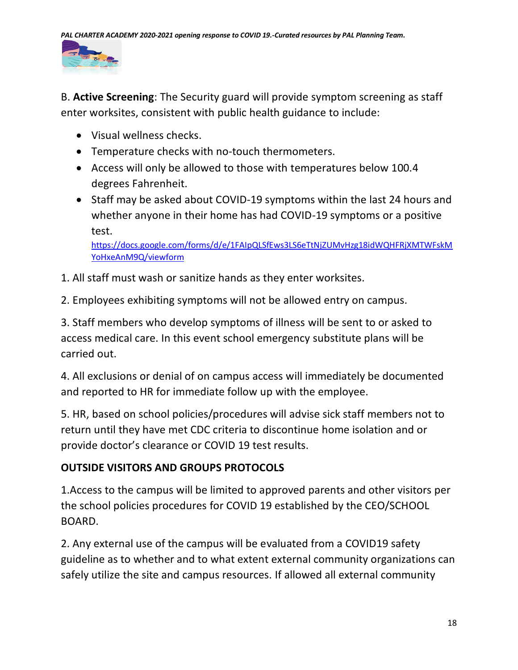

B. **Active Screening**: The Security guard will provide symptom screening as staff enter worksites, consistent with public health guidance to include:

- Visual wellness checks.
- Temperature checks with no-touch thermometers.
- Access will only be allowed to those with temperatures below 100.4 degrees Fahrenheit.
- Staff may be asked about COVID-19 symptoms within the last 24 hours and whether anyone in their home has had COVID-19 symptoms or a positive test.

[https://docs.google.com/forms/d/e/1FAIpQLSfEws3LS6eTtNjZUMvHzg18idWQHFRjXMTWFskM](https://docs.google.com/forms/d/e/1FAIpQLSfEws3LS6eTtNjZUMvHzg18idWQHFRjXMTWFskMYoHxeAnM9Q/viewform) [YoHxeAnM9Q/viewform](https://docs.google.com/forms/d/e/1FAIpQLSfEws3LS6eTtNjZUMvHzg18idWQHFRjXMTWFskMYoHxeAnM9Q/viewform)

- 1. All staff must wash or sanitize hands as they enter worksites.
- 2. Employees exhibiting symptoms will not be allowed entry on campus.

3. Staff members who develop symptoms of illness will be sent to or asked to access medical care. In this event school emergency substitute plans will be carried out.

4. All exclusions or denial of on campus access will immediately be documented and reported to HR for immediate follow up with the employee.

5. HR, based on school policies/procedures will advise sick staff members not to return until they have met CDC criteria to discontinue home isolation and or provide doctor's clearance or COVID 19 test results.

# **OUTSIDE VISITORS AND GROUPS PROTOCOLS**

1.Access to the campus will be limited to approved parents and other visitors per the school policies procedures for COVID 19 established by the CEO/SCHOOL BOARD.

2. Any external use of the campus will be evaluated from a COVID19 safety guideline as to whether and to what extent external community organizations can safely utilize the site and campus resources. If allowed all external community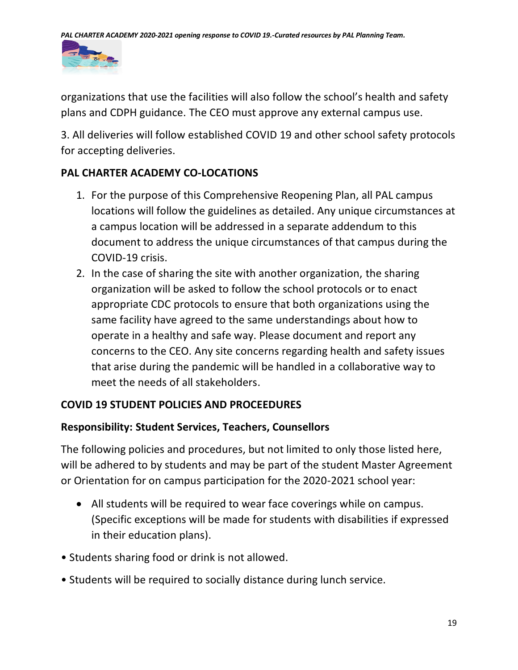

organizations that use the facilities will also follow the school's health and safety plans and CDPH guidance. The CEO must approve any external campus use.

3. All deliveries will follow established COVID 19 and other school safety protocols for accepting deliveries.

### **PAL CHARTER ACADEMY CO-LOCATIONS**

- 1. For the purpose of this Comprehensive Reopening Plan, all PAL campus locations will follow the guidelines as detailed. Any unique circumstances at a campus location will be addressed in a separate addendum to this document to address the unique circumstances of that campus during the COVID-19 crisis.
- 2. In the case of sharing the site with another organization, the sharing organization will be asked to follow the school protocols or to enact appropriate CDC protocols to ensure that both organizations using the same facility have agreed to the same understandings about how to operate in a healthy and safe way. Please document and report any concerns to the CEO. Any site concerns regarding health and safety issues that arise during the pandemic will be handled in a collaborative way to meet the needs of all stakeholders.

### **COVID 19 STUDENT POLICIES AND PROCEEDURES**

### **Responsibility: Student Services, Teachers, Counsellors**

The following policies and procedures, but not limited to only those listed here, will be adhered to by students and may be part of the student Master Agreement or Orientation for on campus participation for the 2020-2021 school year:

- All students will be required to wear face coverings while on campus. (Specific exceptions will be made for students with disabilities if expressed in their education plans).
- Students sharing food or drink is not allowed.
- Students will be required to socially distance during lunch service.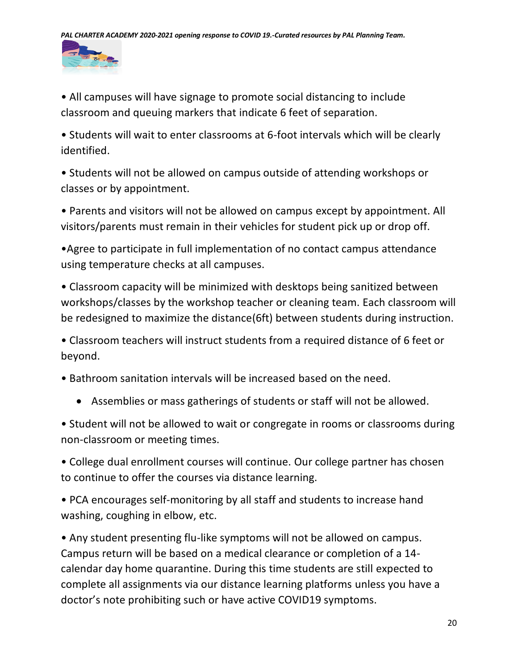

• All campuses will have signage to promote social distancing to include classroom and queuing markers that indicate 6 feet of separation.

• Students will wait to enter classrooms at 6-foot intervals which will be clearly identified.

• Students will not be allowed on campus outside of attending workshops or classes or by appointment.

• Parents and visitors will not be allowed on campus except by appointment. All visitors/parents must remain in their vehicles for student pick up or drop off.

•Agree to participate in full implementation of no contact campus attendance using temperature checks at all campuses.

• Classroom capacity will be minimized with desktops being sanitized between workshops/classes by the workshop teacher or cleaning team. Each classroom will be redesigned to maximize the distance(6ft) between students during instruction.

• Classroom teachers will instruct students from a required distance of 6 feet or beyond.

• Bathroom sanitation intervals will be increased based on the need.

• Assemblies or mass gatherings of students or staff will not be allowed.

• Student will not be allowed to wait or congregate in rooms or classrooms during non-classroom or meeting times.

• College dual enrollment courses will continue. Our college partner has chosen to continue to offer the courses via distance learning.

• PCA encourages self-monitoring by all staff and students to increase hand washing, coughing in elbow, etc.

• Any student presenting flu-like symptoms will not be allowed on campus. Campus return will be based on a medical clearance or completion of a 14 calendar day home quarantine. During this time students are still expected to complete all assignments via our distance learning platforms unless you have a doctor's note prohibiting such or have active COVID19 symptoms.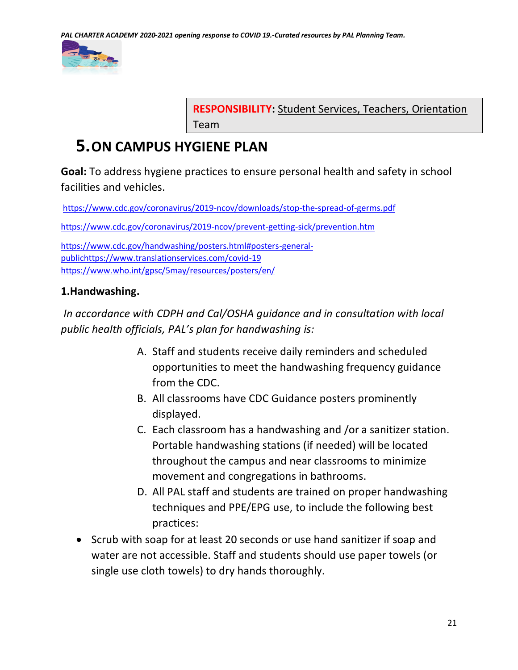

**RESPONSIBILITY:** Student Services, Teachers, Orientation Team

# **5.ON CAMPUS HYGIENE PLAN**

**Goal:** To address hygiene practices to ensure personal health and safety in school facilities and vehicles.

<https://www.cdc.gov/coronavirus/2019-ncov/downloads/stop-the-spread-of-germs.pdf> <https://www.cdc.gov/coronavirus/2019-ncov/prevent-getting-sick/prevention.htm> [https://www.cdc.gov/handwashing/posters.html#posters-general](https://www.cdc.gov/handwashing/posters.html#posters-general-public)[public](https://www.cdc.gov/handwashing/posters.html#posters-general-public)<https://www.translationservices.com/covid-19> <https://www.who.int/gpsc/5may/resources/posters/en/>

### **1.Handwashing.**

*In accordance with CDPH and Cal/OSHA guidance and in consultation with local public health officials, PAL's plan for handwashing is:*

- A. Staff and students receive daily reminders and scheduled opportunities to meet the handwashing frequency guidance from the CDC.
- B. All classrooms have CDC Guidance posters prominently displayed.
- C. Each classroom has a handwashing and /or a sanitizer station. Portable handwashing stations (if needed) will be located throughout the campus and near classrooms to minimize movement and congregations in bathrooms.
- D. All PAL staff and students are trained on proper handwashing techniques and PPE/EPG use, to include the following best practices:
- Scrub with soap for at least 20 seconds or use hand sanitizer if soap and water are not accessible. Staff and students should use paper towels (or single use cloth towels) to dry hands thoroughly.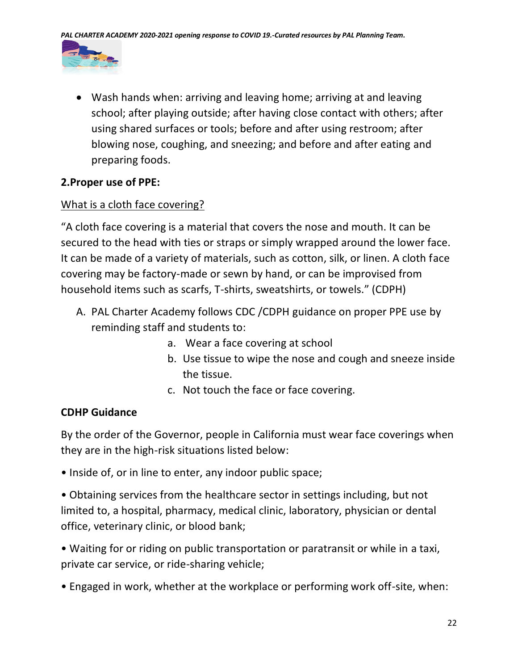

• Wash hands when: arriving and leaving home; arriving at and leaving school; after playing outside; after having close contact with others; after using shared surfaces or tools; before and after using restroom; after blowing nose, coughing, and sneezing; and before and after eating and preparing foods.

### **2.Proper use of PPE:**

### What is a cloth face covering?

"A cloth face covering is a material that covers the nose and mouth. It can be secured to the head with ties or straps or simply wrapped around the lower face. It can be made of a variety of materials, such as cotton, silk, or linen. A cloth face covering may be factory-made or sewn by hand, or can be improvised from household items such as scarfs, T-shirts, sweatshirts, or towels." (CDPH)

- A. PAL Charter Academy follows CDC /CDPH guidance on proper PPE use by reminding staff and students to:
	- a. Wear a face covering at school
	- b. Use tissue to wipe the nose and cough and sneeze inside the tissue.
	- c. Not touch the face or face covering.

### **CDHP Guidance**

By the order of the Governor, people in California must wear face coverings when they are in the high-risk situations listed below:

• Inside of, or in line to enter, any indoor public space;

• Obtaining services from the healthcare sector in settings including, but not limited to, a hospital, pharmacy, medical clinic, laboratory, physician or dental office, veterinary clinic, or blood bank;

• Waiting for or riding on public transportation or paratransit or while in a taxi, private car service, or ride-sharing vehicle;

• Engaged in work, whether at the workplace or performing work off-site, when: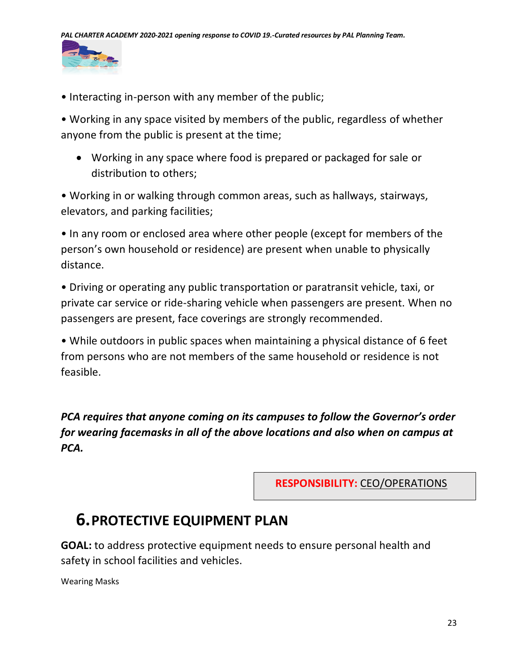

• Interacting in-person with any member of the public;

• Working in any space visited by members of the public, regardless of whether anyone from the public is present at the time;

• Working in any space where food is prepared or packaged for sale or distribution to others;

• Working in or walking through common areas, such as hallways, stairways, elevators, and parking facilities;

• In any room or enclosed area where other people (except for members of the person's own household or residence) are present when unable to physically distance.

• Driving or operating any public transportation or paratransit vehicle, taxi, or private car service or ride-sharing vehicle when passengers are present. When no passengers are present, face coverings are strongly recommended.

• While outdoors in public spaces when maintaining a physical distance of 6 feet from persons who are not members of the same household or residence is not feasible.

*PCA requires that anyone coming on its campuses to follow the Governor's order for wearing facemasks in all of the above locations and also when on campus at PCA.*

**RESPONSIBILITY:** CEO/OPERATIONS

# **6.PROTECTIVE EQUIPMENT PLAN**

**GOAL:** to address protective equipment needs to ensure personal health and safety in school facilities and vehicles.

Wearing Masks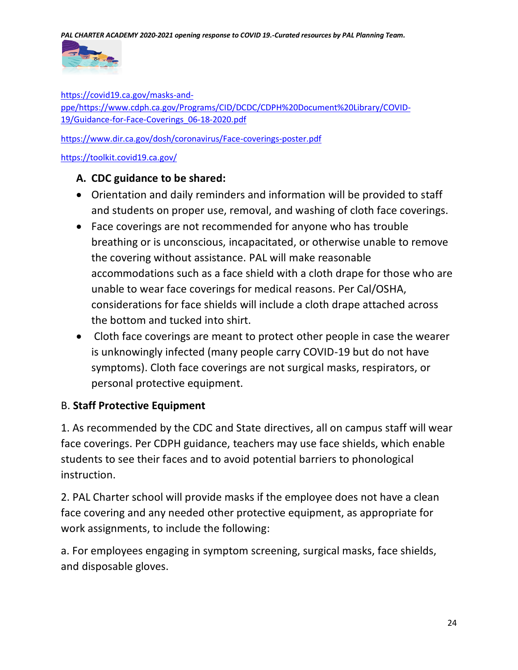

[https://covid19.ca.gov/masks-and](https://covid19.ca.gov/masks-and-ppe/)[ppe/](https://covid19.ca.gov/masks-and-ppe/)[https://www.cdph.ca.gov/Programs/CID/DCDC/CDPH%20Document%20Library/COVID-](https://www.cdph.ca.gov/Programs/CID/DCDC/CDPH%20Document%20Library/COVID-19/Guidance-for-Face-Coverings_06-18-2020.pdf)[19/Guidance-for-Face-Coverings\\_06-18-2020.pdf](https://www.cdph.ca.gov/Programs/CID/DCDC/CDPH%20Document%20Library/COVID-19/Guidance-for-Face-Coverings_06-18-2020.pdf)

<https://www.dir.ca.gov/dosh/coronavirus/Face-coverings-poster.pdf>

<https://toolkit.covid19.ca.gov/>

### **A. CDC guidance to be shared:**

- Orientation and daily reminders and information will be provided to staff and students on proper use, removal, and washing of cloth face coverings.
- Face coverings are not recommended for anyone who has trouble breathing or is unconscious, incapacitated, or otherwise unable to remove the covering without assistance. PAL will make reasonable accommodations such as a face shield with a cloth drape for those who are unable to wear face coverings for medical reasons. Per Cal/OSHA, considerations for face shields will include a cloth drape attached across the bottom and tucked into shirt.
- Cloth face coverings are meant to protect other people in case the wearer is unknowingly infected (many people carry COVID-19 but do not have symptoms). Cloth face coverings are not surgical masks, respirators, or personal protective equipment.

### B. **Staff Protective Equipment**

1. As recommended by the CDC and State directives, all on campus staff will wear face coverings. Per CDPH guidance, teachers may use face shields, which enable students to see their faces and to avoid potential barriers to phonological instruction.

2. PAL Charter school will provide masks if the employee does not have a clean face covering and any needed other protective equipment, as appropriate for work assignments, to include the following:

a. For employees engaging in symptom screening, surgical masks, face shields, and disposable gloves.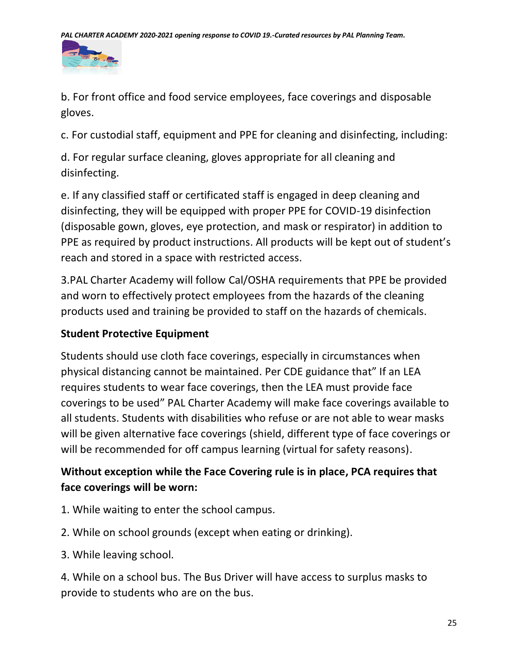

b. For front office and food service employees, face coverings and disposable gloves.

c. For custodial staff, equipment and PPE for cleaning and disinfecting, including:

d. For regular surface cleaning, gloves appropriate for all cleaning and disinfecting.

e. If any classified staff or certificated staff is engaged in deep cleaning and disinfecting, they will be equipped with proper PPE for COVID-19 disinfection (disposable gown, gloves, eye protection, and mask or respirator) in addition to PPE as required by product instructions. All products will be kept out of student's reach and stored in a space with restricted access.

3.PAL Charter Academy will follow Cal/OSHA requirements that PPE be provided and worn to effectively protect employees from the hazards of the cleaning products used and training be provided to staff on the hazards of chemicals.

# **Student Protective Equipment**

Students should use cloth face coverings, especially in circumstances when physical distancing cannot be maintained. Per CDE guidance that" If an LEA requires students to wear face coverings, then the LEA must provide face coverings to be used" PAL Charter Academy will make face coverings available to all students. Students with disabilities who refuse or are not able to wear masks will be given alternative face coverings (shield, different type of face coverings or will be recommended for off campus learning (virtual for safety reasons).

# **Without exception while the Face Covering rule is in place, PCA requires that face coverings will be worn:**

- 1. While waiting to enter the school campus.
- 2. While on school grounds (except when eating or drinking).
- 3. While leaving school.

4. While on a school bus. The Bus Driver will have access to surplus masks to provide to students who are on the bus.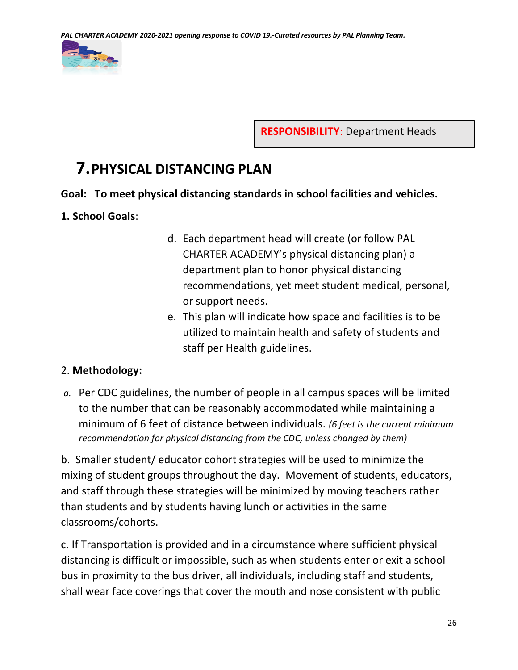

**RESPONSIBILITY**: Department Heads

# **7.PHYSICAL DISTANCING PLAN**

### **Goal: To meet physical distancing standards in school facilities and vehicles.**

### **1. School Goals**:

- d. Each department head will create (or follow PAL CHARTER ACADEMY's physical distancing plan) a department plan to honor physical distancing recommendations, yet meet student medical, personal, or support needs.
- e. This plan will indicate how space and facilities is to be utilized to maintain health and safety of students and staff per Health guidelines.

### 2. **Methodology:**

*a.* Per CDC guidelines, the number of people in all campus spaces will be limited to the number that can be reasonably accommodated while maintaining a minimum of 6 feet of distance between individuals. *(6 feet is the current minimum recommendation for physical distancing from the CDC, unless changed by them)*

b. Smaller student/ educator cohort strategies will be used to minimize the mixing of student groups throughout the day. Movement of students, educators, and staff through these strategies will be minimized by moving teachers rather than students and by students having lunch or activities in the same classrooms/cohorts.

c. If Transportation is provided and in a circumstance where sufficient physical distancing is difficult or impossible, such as when students enter or exit a school bus in proximity to the bus driver, all individuals, including staff and students, shall wear face coverings that cover the mouth and nose consistent with public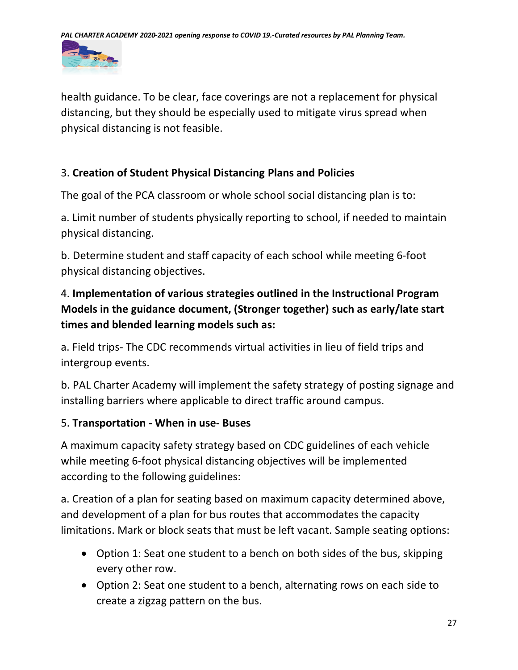

health guidance. To be clear, face coverings are not a replacement for physical distancing, but they should be especially used to mitigate virus spread when physical distancing is not feasible.

# 3. **Creation of Student Physical Distancing Plans and Policies**

The goal of the PCA classroom or whole school social distancing plan is to:

a. Limit number of students physically reporting to school, if needed to maintain physical distancing.

b. Determine student and staff capacity of each school while meeting 6-foot physical distancing objectives.

# 4. **Implementation of various strategies outlined in the Instructional Program Models in the guidance document, (Stronger together) such as early/late start times and blended learning models such as:**

a. Field trips- The CDC recommends virtual activities in lieu of field trips and intergroup events.

b. PAL Charter Academy will implement the safety strategy of posting signage and installing barriers where applicable to direct traffic around campus.

# 5. **Transportation - When in use- Buses**

A maximum capacity safety strategy based on CDC guidelines of each vehicle while meeting 6-foot physical distancing objectives will be implemented according to the following guidelines:

a. Creation of a plan for seating based on maximum capacity determined above, and development of a plan for bus routes that accommodates the capacity limitations. Mark or block seats that must be left vacant. Sample seating options:

- Option 1: Seat one student to a bench on both sides of the bus, skipping every other row.
- Option 2: Seat one student to a bench, alternating rows on each side to create a zigzag pattern on the bus.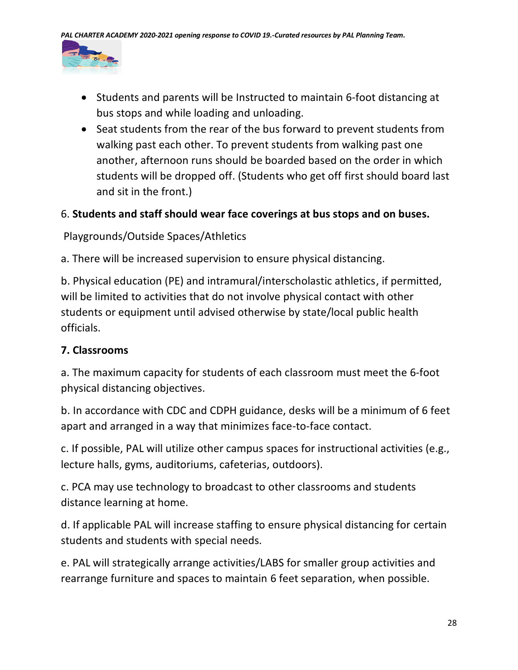

- Students and parents will be Instructed to maintain 6-foot distancing at bus stops and while loading and unloading.
- Seat students from the rear of the bus forward to prevent students from walking past each other. To prevent students from walking past one another, afternoon runs should be boarded based on the order in which students will be dropped off. (Students who get off first should board last and sit in the front.)

### 6. **Students and staff should wear face coverings at bus stops and on buses.**

Playgrounds/Outside Spaces/Athletics

a. There will be increased supervision to ensure physical distancing.

b. Physical education (PE) and intramural/interscholastic athletics, if permitted, will be limited to activities that do not involve physical contact with other students or equipment until advised otherwise by state/local public health officials.

# **7. Classrooms**

a. The maximum capacity for students of each classroom must meet the 6-foot physical distancing objectives.

b. In accordance with CDC and CDPH guidance, desks will be a minimum of 6 feet apart and arranged in a way that minimizes face-to-face contact.

c. If possible, PAL will utilize other campus spaces for instructional activities (e.g., lecture halls, gyms, auditoriums, cafeterias, outdoors).

c. PCA may use technology to broadcast to other classrooms and students distance learning at home.

d. If applicable PAL will increase staffing to ensure physical distancing for certain students and students with special needs.

e. PAL will strategically arrange activities/LABS for smaller group activities and rearrange furniture and spaces to maintain 6 feet separation, when possible.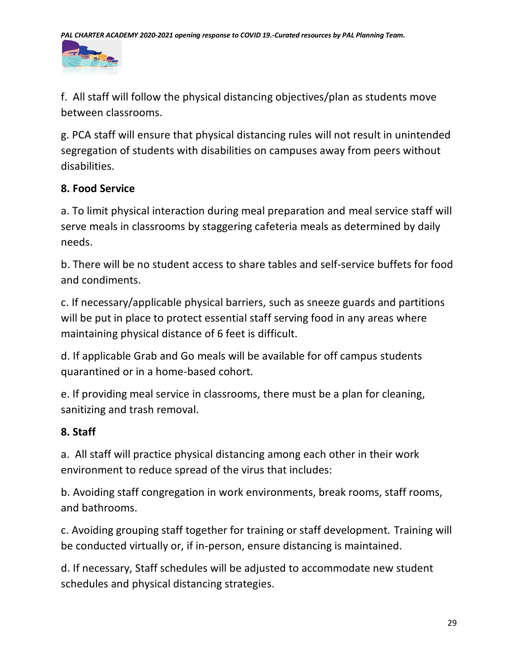

f. All staff will follow the physical distancing objectives/plan as students move between classrooms.

g. PCA staff will ensure that physical distancing rules will not result in unintended segregation of students with disabilities on campuses away from peers without disabilities.

# **8. Food Service**

a. To limit physical interaction during meal preparation and meal service staff will serve meals in classrooms by staggering cafeteria meals as determined by daily needs.

b. There will be no student access to share tables and self-service buffets for food and condiments.

c. If necessary/applicable physical barriers, such as sneeze guards and partitions will be put in place to protect essential staff serving food in any areas where maintaining physical distance of 6 feet is difficult.

d. If applicable Grab and Go meals will be available for off campus students quarantined or in a home-based cohort.

e. If providing meal service in classrooms, there must be a plan for cleaning, sanitizing and trash removal.

# **8. Staff**

a. All staff will practice physical distancing among each other in their work environment to reduce spread of the virus that includes:

b. Avoiding staff congregation in work environments, break rooms, staff rooms, and bathrooms.

c. Avoiding grouping staff together for training or staff development. Training will be conducted virtually or, if in-person, ensure distancing is maintained.

d. If necessary, Staff schedules will be adjusted to accommodate new student schedules and physical distancing strategies.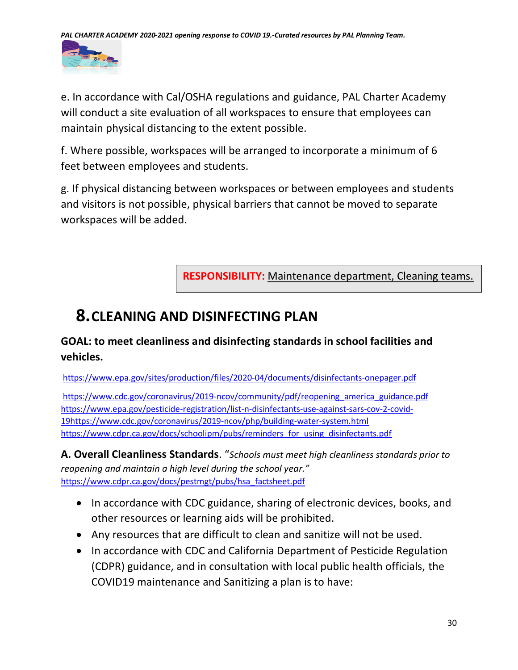

e. In accordance with Cal/OSHA regulations and guidance, PAL Charter Academy will conduct a site evaluation of all workspaces to ensure that employees can maintain physical distancing to the extent possible.

f. Where possible, workspaces will be arranged to incorporate a minimum of 6 feet between employees and students.

g. If physical distancing between workspaces or between employees and students and visitors is not possible, physical barriers that cannot be moved to separate workspaces will be added.

**RESPONSIBILITY:** Maintenance department, Cleaning teams.

# **8.CLEANING AND DISINFECTING PLAN**

# **GOAL: to meet cleanliness and disinfecting standards in school facilities and vehicles.**

<https://www.epa.gov/sites/production/files/2020-04/documents/disinfectants-onepager.pdf>

[https://www.cdc.gov/coronavirus/2019-ncov/community/pdf/reopening\\_america\\_guidance.pdf](https://www.cdc.gov/coronavirus/2019-ncov/community/pdf/reopening_america_guidance.pdf) [https://www.epa.gov/pesticide-registration/list-n-disinfectants-use-against-sars-cov-2-covid-](https://www.epa.gov/pesticide-registration/list-n-disinfectants-use-against-sars-cov-2-covid-19)[19](https://www.epa.gov/pesticide-registration/list-n-disinfectants-use-against-sars-cov-2-covid-19)<https://www.cdc.gov/coronavirus/2019-ncov/php/building-water-system.html> [https://www.cdpr.ca.gov/docs/schoolipm/pubs/reminders\\_for\\_using\\_disinfectants.pdf](https://www.cdpr.ca.gov/docs/schoolipm/pubs/reminders_for_using_disinfectants.pdf)

**A. Overall Cleanliness Standards**. "*Schools must meet high cleanliness standards prior to reopening and maintain a high level during the school year."* [https://www.cdpr.ca.gov/docs/pestmgt/pubs/hsa\\_factsheet.pdf](https://www.cdpr.ca.gov/docs/pestmgt/pubs/hsa_factsheet.pdf)

- In accordance with CDC guidance, sharing of electronic devices, books, and other resources or learning aids will be prohibited.
- Any resources that are difficult to clean and sanitize will not be used.
- In accordance with CDC and California Department of Pesticide Regulation (CDPR) guidance, and in consultation with local public health officials, the COVID19 maintenance and Sanitizing a plan is to have: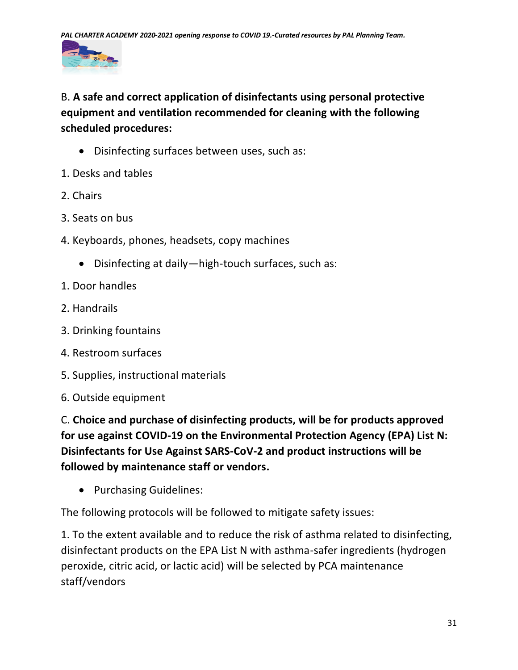

# B. **A safe and correct application of disinfectants using personal protective equipment and ventilation recommended for cleaning with the following scheduled procedures:**

- Disinfecting surfaces between uses, such as:
- 1. Desks and tables
- 2. Chairs
- 3. Seats on bus
- 4. Keyboards, phones, headsets, copy machines
	- Disinfecting at daily—high-touch surfaces, such as:
- 1. Door handles
- 2. Handrails
- 3. Drinking fountains
- 4. Restroom surfaces
- 5. Supplies, instructional materials
- 6. Outside equipment

C. **Choice and purchase of disinfecting products, will be for products approved for use against COVID-19 on the Environmental Protection Agency (EPA) List N: Disinfectants for Use Against SARS-CoV-2 and product instructions will be followed by maintenance staff or vendors.**

• Purchasing Guidelines:

The following protocols will be followed to mitigate safety issues:

1. To the extent available and to reduce the risk of asthma related to disinfecting, disinfectant products on the EPA List N with asthma-safer ingredients (hydrogen peroxide, citric acid, or lactic acid) will be selected by PCA maintenance staff/vendors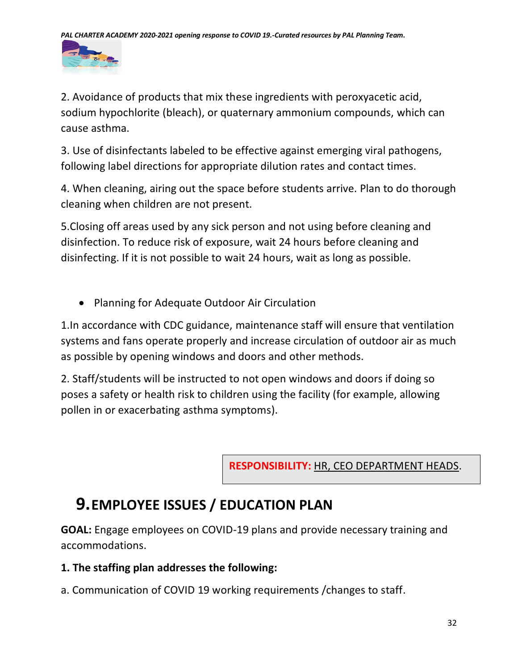

2. Avoidance of products that mix these ingredients with peroxyacetic acid, sodium hypochlorite (bleach), or quaternary ammonium compounds, which can cause asthma.

3. Use of disinfectants labeled to be effective against emerging viral pathogens, following label directions for appropriate dilution rates and contact times.

4. When cleaning, airing out the space before students arrive. Plan to do thorough cleaning when children are not present.

5.Closing off areas used by any sick person and not using before cleaning and disinfection. To reduce risk of exposure, wait 24 hours before cleaning and disinfecting. If it is not possible to wait 24 hours, wait as long as possible.

• Planning for Adequate Outdoor Air Circulation

1.In accordance with CDC guidance, maintenance staff will ensure that ventilation systems and fans operate properly and increase circulation of outdoor air as much as possible by opening windows and doors and other methods.

2. Staff/students will be instructed to not open windows and doors if doing so poses a safety or health risk to children using the facility (for example, allowing pollen in or exacerbating asthma symptoms).

**RESPONSIBILITY:** HR, CEO DEPARTMENT HEADS.

# **9.EMPLOYEE ISSUES / EDUCATION PLAN**

**GOAL:** Engage employees on COVID-19 plans and provide necessary training and accommodations.

# **1. The staffing plan addresses the following:**

a. Communication of COVID 19 working requirements /changes to staff.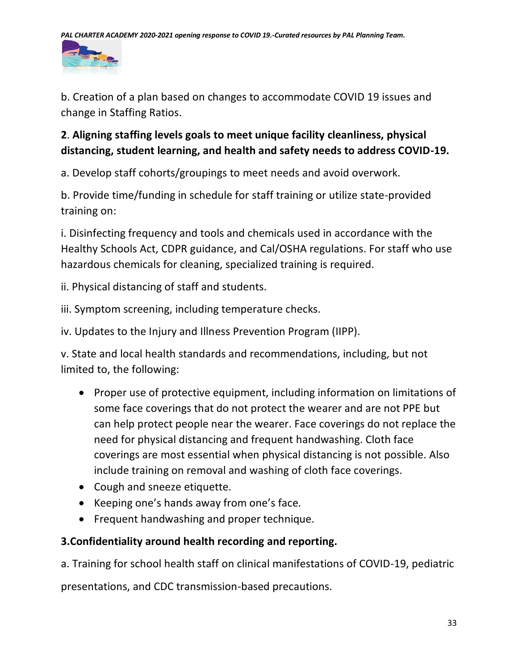

b. Creation of a plan based on changes to accommodate COVID 19 issues and change in Staffing Ratios.

# **2**. **Aligning staffing levels goals to meet unique facility cleanliness, physical distancing, student learning, and health and safety needs to address COVID-19.**

a. Develop staff cohorts/groupings to meet needs and avoid overwork.

b. Provide time/funding in schedule for staff training or utilize state-provided training on:

i. Disinfecting frequency and tools and chemicals used in accordance with the Healthy Schools Act, CDPR guidance, and Cal/OSHA regulations. For staff who use hazardous chemicals for cleaning, specialized training is required.

ii. Physical distancing of staff and students.

iii. Symptom screening, including temperature checks.

iv. Updates to the Injury and Illness Prevention Program (IIPP).

v. State and local health standards and recommendations, including, but not limited to, the following:

- Proper use of protective equipment, including information on limitations of some face coverings that do not protect the wearer and are not PPE but can help protect people near the wearer. Face coverings do not replace the need for physical distancing and frequent handwashing. Cloth face coverings are most essential when physical distancing is not possible. Also include training on removal and washing of cloth face coverings.
- Cough and sneeze etiquette.
- Keeping one's hands away from one's face.
- Frequent handwashing and proper technique.

# **3.Confidentiality around health recording and reporting.**

a. Training for school health staff on clinical manifestations of COVID-19, pediatric

presentations, and CDC transmission-based precautions.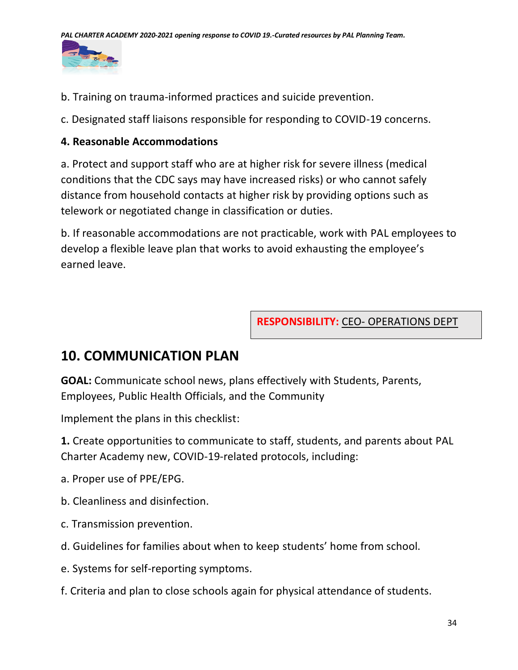

- b. Training on trauma-informed practices and suicide prevention.
- c. Designated staff liaisons responsible for responding to COVID-19 concerns.

### **4. Reasonable Accommodations**

a. Protect and support staff who are at higher risk for severe illness (medical conditions that the CDC says may have increased risks) or who cannot safely distance from household contacts at higher risk by providing options such as telework or negotiated change in classification or duties.

b. If reasonable accommodations are not practicable, work with PAL employees to develop a flexible leave plan that works to avoid exhausting the employee's earned leave.

**RESPONSIBILITY:** CEO- OPERATIONS DEPT

# **10. COMMUNICATION PLAN**

**GOAL:** Communicate school news, plans effectively with Students, Parents, Employees, Public Health Officials, and the Community

Implement the plans in this checklist:

**1.** Create opportunities to communicate to staff, students, and parents about PAL Charter Academy new, COVID-19-related protocols, including:

- a. Proper use of PPE/EPG.
- b. Cleanliness and disinfection.
- c. Transmission prevention.
- d. Guidelines for families about when to keep students' home from school.
- e. Systems for self-reporting symptoms.
- f. Criteria and plan to close schools again for physical attendance of students.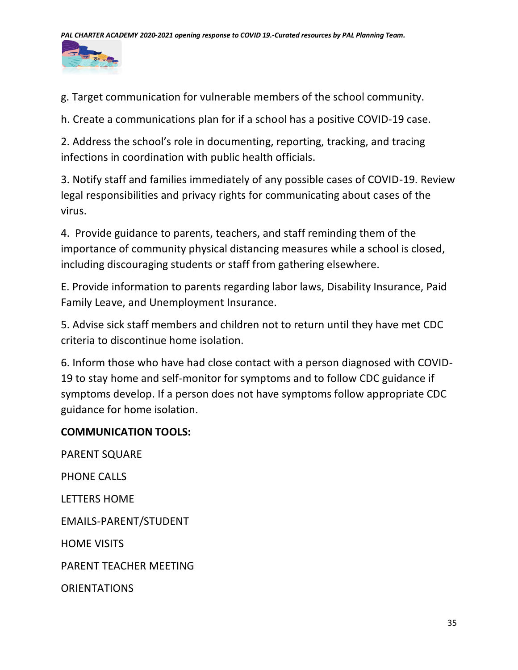

g. Target communication for vulnerable members of the school community.

h. Create a communications plan for if a school has a positive COVID-19 case.

2. Address the school's role in documenting, reporting, tracking, and tracing infections in coordination with public health officials.

3. Notify staff and families immediately of any possible cases of COVID-19. Review legal responsibilities and privacy rights for communicating about cases of the virus.

4. Provide guidance to parents, teachers, and staff reminding them of the importance of community physical distancing measures while a school is closed, including discouraging students or staff from gathering elsewhere.

E. Provide information to parents regarding labor laws, Disability Insurance, Paid Family Leave, and Unemployment Insurance.

5. Advise sick staff members and children not to return until they have met CDC criteria to discontinue home isolation.

6. Inform those who have had close contact with a person diagnosed with COVID-19 to stay home and self-monitor for symptoms and to follow CDC guidance if symptoms develop. If a person does not have symptoms follow appropriate CDC guidance for home isolation.

# **COMMUNICATION TOOLS:**

PARENT SQUARE PHONE CALLS LETTERS HOME EMAILS-PARENT/STUDENT HOME VISITS PARENT TEACHER MEETING **ORIENTATIONS**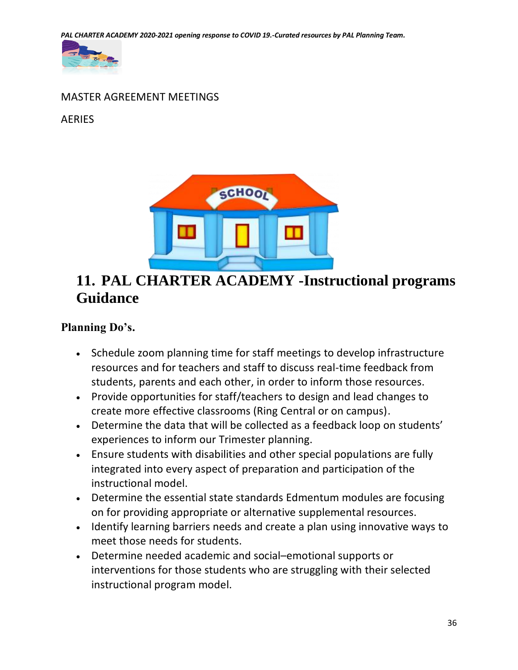*PAL CHARTER ACADEMY 2020-2021 opening response to COVID 19.-Curated resources by PAL Planning Team.*



# MASTER AGREEMENT MEETINGS

### AERIES



# **11. PAL CHARTER ACADEMY -Instructional programs Guidance**

# **Planning Do's.**

- Schedule zoom planning time for staff meetings to develop infrastructure resources and for teachers and staff to discuss real-time feedback from students, parents and each other, in order to inform those resources.
- Provide opportunities for staff/teachers to design and lead changes to create more effective classrooms (Ring Central or on campus).
- Determine the data that will be collected as a feedback loop on students' experiences to inform our Trimester planning.
- Ensure students with disabilities and other special populations are fully integrated into every aspect of preparation and participation of the instructional model.
- Determine the essential state standards Edmentum modules are focusing on for providing appropriate or alternative supplemental resources.
- Identify learning barriers needs and create a plan using innovative ways to meet those needs for students.
- Determine needed academic and social–emotional supports or interventions for those students who are struggling with their selected instructional program model.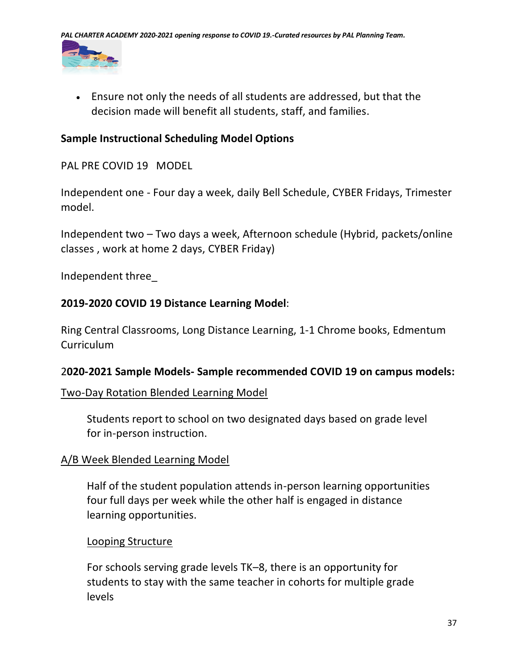

• Ensure not only the needs of all students are addressed, but that the decision made will benefit all students, staff, and families.

### **Sample Instructional Scheduling Model Options**

PAL PRE COVID 19 MODEL

Independent one - Four day a week, daily Bell Schedule, CYBER Fridays, Trimester model.

Independent two – Two days a week, Afternoon schedule (Hybrid, packets/online classes , work at home 2 days, CYBER Friday)

Independent three\_

### **2019-2020 COVID 19 Distance Learning Model**:

Ring Central Classrooms, Long Distance Learning, 1-1 Chrome books, Edmentum Curriculum

### 2**020-2021 Sample Models- Sample recommended COVID 19 on campus models:**

#### Two-Day Rotation Blended Learning Model

Students report to school on two designated days based on grade level for in-person instruction.

### A/B Week Blended Learning Model

Half of the student population attends in-person learning opportunities four full days per week while the other half is engaged in distance learning opportunities.

#### Looping Structure

For schools serving grade levels TK–8, there is an opportunity for students to stay with the same teacher in cohorts for multiple grade levels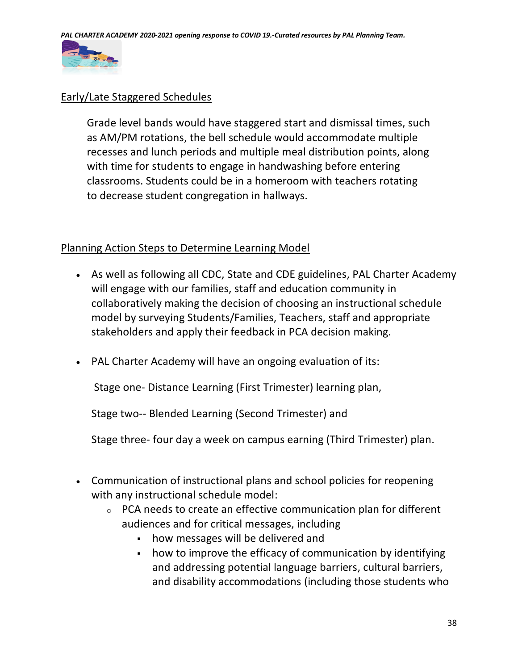

### Early/Late Staggered Schedules

Grade level bands would have staggered start and dismissal times, such as AM/PM rotations, the bell schedule would accommodate multiple recesses and lunch periods and multiple meal distribution points, along with time for students to engage in handwashing before entering classrooms. Students could be in a homeroom with teachers rotating to decrease student congregation in hallways.

### Planning Action Steps to Determine Learning Model

- As well as following all CDC, State and CDE guidelines, PAL Charter Academy will engage with our families, staff and education community in collaboratively making the decision of choosing an instructional schedule model by surveying Students/Families, Teachers, staff and appropriate stakeholders and apply their feedback in PCA decision making.
- PAL Charter Academy will have an ongoing evaluation of its:

Stage one- Distance Learning (First Trimester) learning plan,

Stage two-- Blended Learning (Second Trimester) and

Stage three- four day a week on campus earning (Third Trimester) plan.

- Communication of instructional plans and school policies for reopening with any instructional schedule model:
	- $\circ$  PCA needs to create an effective communication plan for different audiences and for critical messages, including
		- how messages will be delivered and
		- how to improve the efficacy of communication by identifying and addressing potential language barriers, cultural barriers, and disability accommodations (including those students who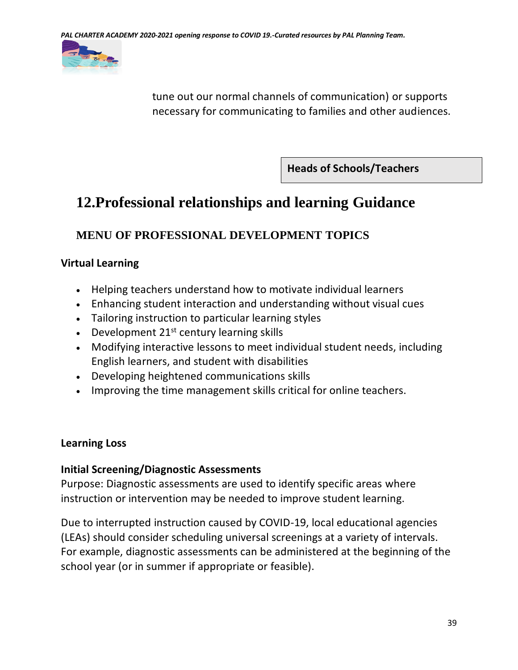

tune out our normal channels of communication) or supports necessary for communicating to families and other audiences.

**Heads of Schools/Teachers**

# **12.Professional relationships and learning Guidance**

# **MENU OF PROFESSIONAL DEVELOPMENT TOPICS**

### **Virtual Learning**

- Helping teachers understand how to motivate individual learners
- Enhancing student interaction and understanding without visual cues
- Tailoring instruction to particular learning styles
- Development  $21^{st}$  century learning skills
- Modifying interactive lessons to meet individual student needs, including English learners, and student with disabilities
- Developing heightened communications skills
- Improving the time management skills critical for online teachers.

# **Learning Loss**

### **Initial Screening/Diagnostic Assessments**

Purpose: Diagnostic assessments are used to identify specific areas where instruction or intervention may be needed to improve student learning.

Due to interrupted instruction caused by COVID-19, local educational agencies (LEAs) should consider scheduling universal screenings at a variety of intervals. For example, diagnostic assessments can be administered at the beginning of the school year (or in summer if appropriate or feasible).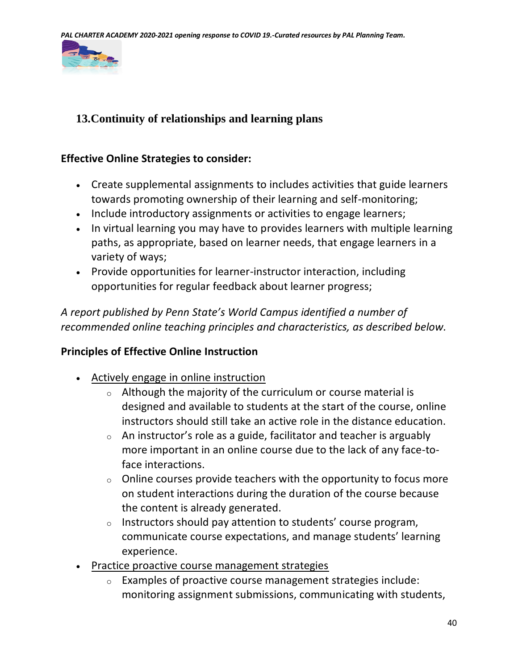

# **13.Continuity of relationships and learning plans**

### **Effective Online Strategies to consider:**

- Create supplemental assignments to includes activities that guide learners towards promoting ownership of their learning and self-monitoring;
- Include introductory assignments or activities to engage learners;
- In virtual learning you may have to provides learners with multiple learning paths, as appropriate, based on learner needs, that engage learners in a variety of ways;
- Provide opportunities for learner-instructor interaction, including opportunities for regular feedback about learner progress;

*A report published by Penn State's World Campus identified a number of recommended online teaching principles and characteristics, as described below.*

### **Principles of Effective Online Instruction**

- Actively engage in online instruction
	- o Although the majority of the curriculum or course material is designed and available to students at the start of the course, online instructors should still take an active role in the distance education.
	- $\circ$  An instructor's role as a guide, facilitator and teacher is arguably more important in an online course due to the lack of any face-toface interactions.
	- $\circ$  Online courses provide teachers with the opportunity to focus more on student interactions during the duration of the course because the content is already generated.
	- $\circ$  Instructors should pay attention to students' course program, communicate course expectations, and manage students' learning experience.
- Practice proactive course management strategies
	- $\circ$  Examples of proactive course management strategies include: monitoring assignment submissions, communicating with students,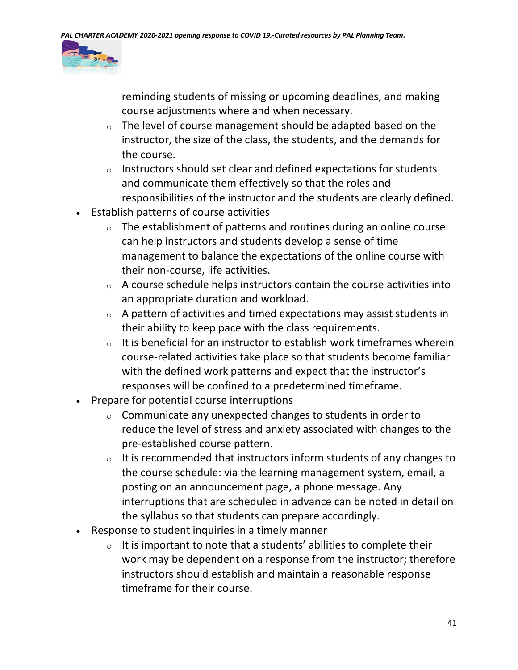

reminding students of missing or upcoming deadlines, and making course adjustments where and when necessary.

- $\circ$  The level of course management should be adapted based on the instructor, the size of the class, the students, and the demands for the course.
- o Instructors should set clear and defined expectations for students and communicate them effectively so that the roles and responsibilities of the instructor and the students are clearly defined.
- Establish patterns of course activities
	- $\circ$  The establishment of patterns and routines during an online course can help instructors and students develop a sense of time management to balance the expectations of the online course with their non-course, life activities.
	- $\circ$  A course schedule helps instructors contain the course activities into an appropriate duration and workload.
	- $\circ$  A pattern of activities and timed expectations may assist students in their ability to keep pace with the class requirements.
	- $\circ$  It is beneficial for an instructor to establish work timeframes wherein course-related activities take place so that students become familiar with the defined work patterns and expect that the instructor's responses will be confined to a predetermined timeframe.
- Prepare for potential course interruptions
	- $\circ$  Communicate any unexpected changes to students in order to reduce the level of stress and anxiety associated with changes to the pre-established course pattern.
	- $\circ$  It is recommended that instructors inform students of any changes to the course schedule: via the learning management system, email, a posting on an announcement page, a phone message. Any interruptions that are scheduled in advance can be noted in detail on the syllabus so that students can prepare accordingly.
- Response to student inquiries in a timely manner
	- $\circ$  It is important to note that a students' abilities to complete their work may be dependent on a response from the instructor; therefore instructors should establish and maintain a reasonable response timeframe for their course.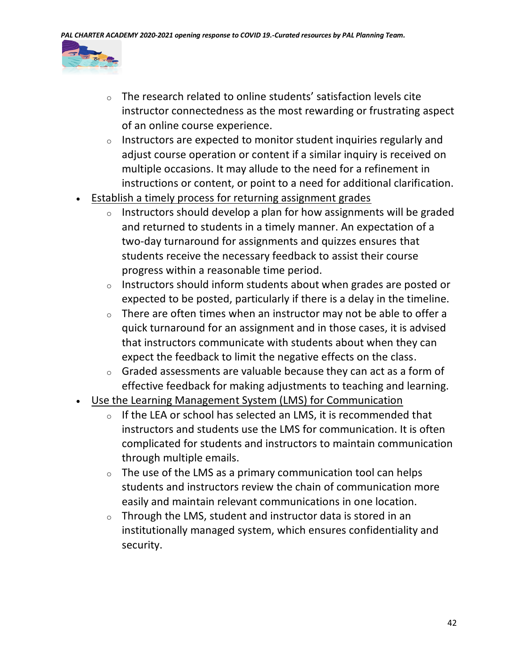

- o The research related to online students' satisfaction levels cite instructor connectedness as the most rewarding or frustrating aspect of an online course experience.
- $\circ$  Instructors are expected to monitor student inquiries regularly and adjust course operation or content if a similar inquiry is received on multiple occasions. It may allude to the need for a refinement in instructions or content, or point to a need for additional clarification.
- **Establish a timely process for returning assignment grades** 
	- o Instructors should develop a plan for how assignments will be graded and returned to students in a timely manner. An expectation of a two-day turnaround for assignments and quizzes ensures that students receive the necessary feedback to assist their course progress within a reasonable time period.
	- $\circ$  Instructors should inform students about when grades are posted or expected to be posted, particularly if there is a delay in the timeline.
	- $\circ$  There are often times when an instructor may not be able to offer a quick turnaround for an assignment and in those cases, it is advised that instructors communicate with students about when they can expect the feedback to limit the negative effects on the class.
	- $\circ$  Graded assessments are valuable because they can act as a form of effective feedback for making adjustments to teaching and learning.
- Use the Learning Management System (LMS) for Communication
	- $\circ$  If the LEA or school has selected an LMS, it is recommended that instructors and students use the LMS for communication. It is often complicated for students and instructors to maintain communication through multiple emails.
	- $\circ$  The use of the LMS as a primary communication tool can helps students and instructors review the chain of communication more easily and maintain relevant communications in one location.
	- $\circ$  Through the LMS, student and instructor data is stored in an institutionally managed system, which ensures confidentiality and security.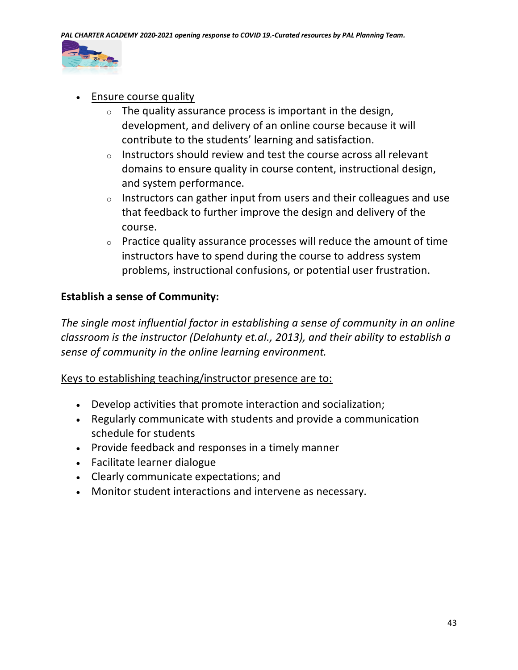

- Ensure course quality
	- $\circ$  The quality assurance process is important in the design, development, and delivery of an online course because it will contribute to the students' learning and satisfaction.
	- $\circ$  Instructors should review and test the course across all relevant domains to ensure quality in course content, instructional design, and system performance.
	- $\circ$  Instructors can gather input from users and their colleagues and use that feedback to further improve the design and delivery of the course.
	- $\circ$  Practice quality assurance processes will reduce the amount of time instructors have to spend during the course to address system problems, instructional confusions, or potential user frustration.

### **Establish a sense of Community:**

*The single most influential factor in establishing a sense of community in an online classroom is the instructor (Delahunty et.al., 2013), and their ability to establish a sense of community in the online learning environment.*

### Keys to establishing teaching/instructor presence are to:

- Develop activities that promote interaction and socialization;
- Regularly communicate with students and provide a communication schedule for students
- Provide feedback and responses in a timely manner
- Facilitate learner dialogue
- Clearly communicate expectations; and
- Monitor student interactions and intervene as necessary.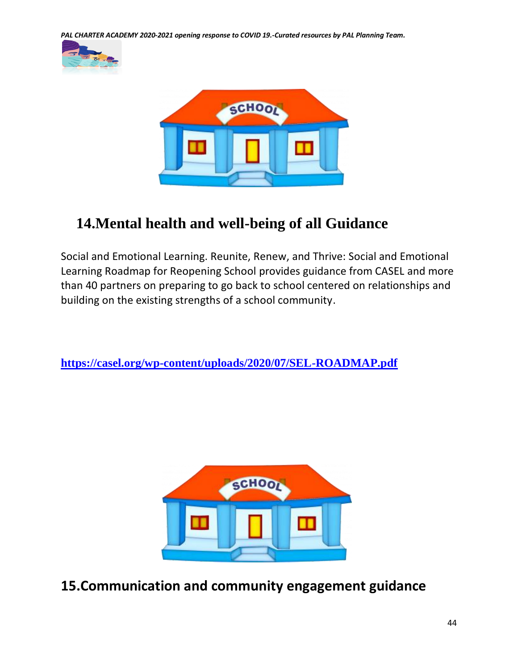*PAL CHARTER ACADEMY 2020-2021 opening response to COVID 19.-Curated resources by PAL Planning Team.*





# **14.Mental health and well-being of all Guidance**

Social and Emotional Learning. Reunite, Renew, and Thrive: Social and Emotional Learning Roadmap for Reopening School provides guidance from CASEL and more than 40 partners on preparing to go back to school centered on relationships and building on the existing strengths of a school community.

**<https://casel.org/wp-content/uploads/2020/07/SEL-ROADMAP.pdf>**



**15.Communication and community engagement guidance**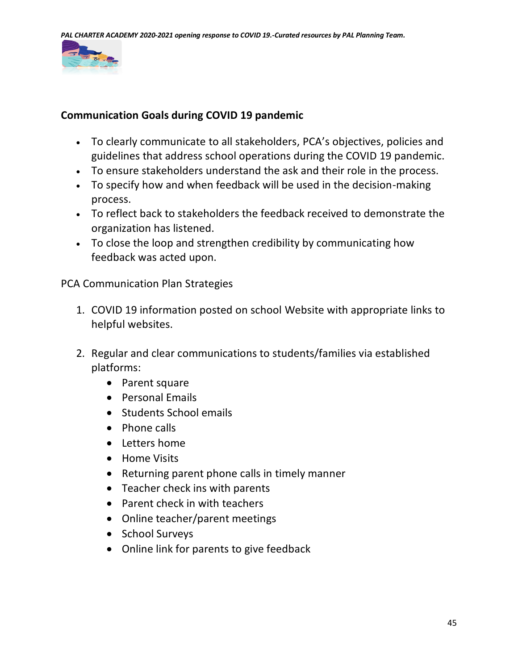

### **Communication Goals during COVID 19 pandemic**

- To clearly communicate to all stakeholders, PCA's objectives, policies and guidelines that address school operations during the COVID 19 pandemic.
- To ensure stakeholders understand the ask and their role in the process.
- To specify how and when feedback will be used in the decision-making process.
- To reflect back to stakeholders the feedback received to demonstrate the organization has listened.
- To close the loop and strengthen credibility by communicating how feedback was acted upon.

PCA Communication Plan Strategies

- 1. COVID 19 information posted on school Website with appropriate links to helpful websites.
- 2. Regular and clear communications to students/families via established platforms:
	- Parent square
	- Personal Emails
	- Students School emails
	- Phone calls
	- Letters home
	- Home Visits
	- Returning parent phone calls in timely manner
	- Teacher check ins with parents
	- Parent check in with teachers
	- Online teacher/parent meetings
	- School Surveys
	- Online link for parents to give feedback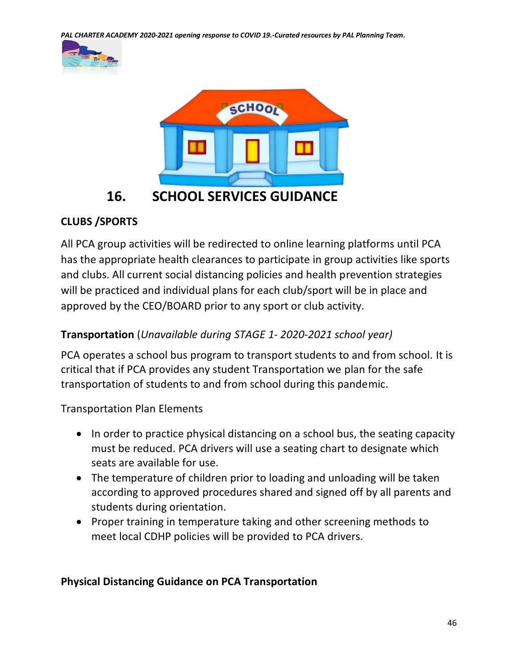*PAL CHARTER ACADEMY 2020-2021 opening response to COVID 19.-Curated resources by PAL Planning Team.*





# **CLUBS /SPORTS**

All PCA group activities will be redirected to online learning platforms until PCA has the appropriate health clearances to participate in group activities like sports and clubs. All current social distancing policies and health prevention strategies will be practiced and individual plans for each club/sport will be in place and approved by the CEO/BOARD prior to any sport or club activity.

# **Transportation** (*Unavailable during STAGE 1- 2020-2021 school year)*

PCA operates a school bus program to transport students to and from school. It is critical that if PCA provides any student Transportation we plan for the safe transportation of students to and from school during this pandemic.

Transportation Plan Elements

- In order to practice physical distancing on a school bus, the seating capacity must be reduced. PCA drivers will use a seating chart to designate which seats are available for use.
- The temperature of children prior to loading and unloading will be taken according to approved procedures shared and signed off by all parents and students during orientation.
- Proper training in temperature taking and other screening methods to meet local CDHP policies will be provided to PCA drivers.

### **Physical Distancing Guidance on PCA Transportation**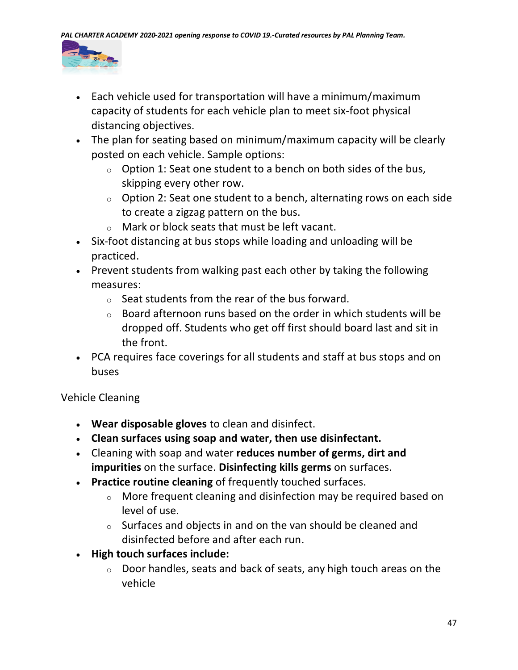

- Each vehicle used for transportation will have a minimum/maximum capacity of students for each vehicle plan to meet six-foot physical distancing objectives.
- The plan for seating based on minimum/maximum capacity will be clearly posted on each vehicle. Sample options:
	- $\circ$  Option 1: Seat one student to a bench on both sides of the bus, skipping every other row.
	- $\circ$  Option 2: Seat one student to a bench, alternating rows on each side to create a zigzag pattern on the bus.
	- $\circ$  Mark or block seats that must be left vacant.
- Six-foot distancing at bus stops while loading and unloading will be practiced.
- Prevent students from walking past each other by taking the following measures:
	- $\circ$  Seat students from the rear of the bus forward.
	- $\circ$  Board afternoon runs based on the order in which students will be dropped off. Students who get off first should board last and sit in the front.
- PCA requires face coverings for all students and staff at bus stops and on buses

# Vehicle Cleaning

- **Wear disposable gloves** to clean and disinfect.
- **Clean surfaces using soap and water, then use disinfectant.**
- Cleaning with soap and water **reduces number of germs, dirt and impurities** on the surface. **Disinfecting kills germs** on surfaces.
- **Practice routine cleaning** of frequently touched surfaces.
	- o More frequent cleaning and disinfection may be required based on level of use.
	- o Surfaces and objects in and on the van should be cleaned and disinfected before and after each run.
- **High touch surfaces include:**
	- $\circ$  Door handles, seats and back of seats, any high touch areas on the vehicle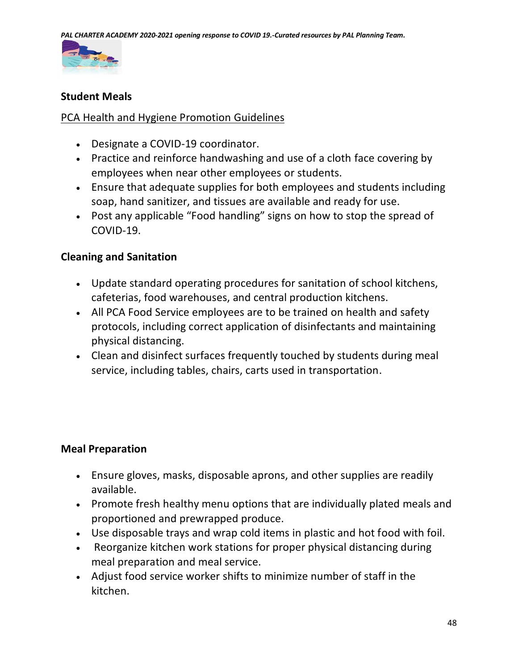

### **Student Meals**

### PCA Health and Hygiene Promotion Guidelines

- Designate a COVID-19 coordinator.
- Practice and reinforce handwashing and use of a cloth face covering by employees when near other employees or students.
- Ensure that adequate supplies for both employees and students including soap, hand sanitizer, and tissues are available and ready for use.
- Post any applicable "Food handling" signs on how to stop the spread of COVID-19.

### **Cleaning and Sanitation**

- Update standard operating procedures for sanitation of school kitchens, cafeterias, food warehouses, and central production kitchens.
- All PCA Food Service employees are to be trained on health and safety protocols, including correct application of disinfectants and maintaining physical distancing.
- Clean and disinfect surfaces frequently touched by students during meal service, including tables, chairs, carts used in transportation.

### **Meal Preparation**

- Ensure gloves, masks, disposable aprons, and other supplies are readily available.
- Promote fresh healthy menu options that are individually plated meals and proportioned and prewrapped produce.
- Use disposable trays and wrap cold items in plastic and hot food with foil.
- Reorganize kitchen work stations for proper physical distancing during meal preparation and meal service.
- Adjust food service worker shifts to minimize number of staff in the kitchen.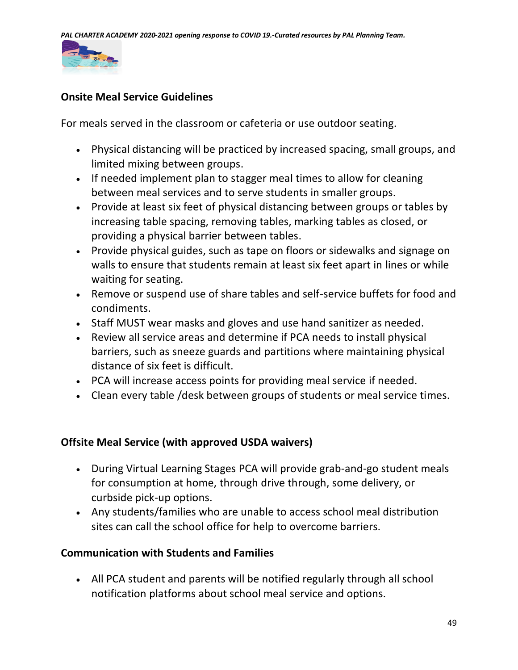

### **Onsite Meal Service Guidelines**

For meals served in the classroom or cafeteria or use outdoor seating.

- Physical distancing will be practiced by increased spacing, small groups, and limited mixing between groups.
- If needed implement plan to stagger meal times to allow for cleaning between meal services and to serve students in smaller groups.
- Provide at least six feet of physical distancing between groups or tables by increasing table spacing, removing tables, marking tables as closed, or providing a physical barrier between tables.
- Provide physical guides, such as tape on floors or sidewalks and signage on walls to ensure that students remain at least six feet apart in lines or while waiting for seating.
- Remove or suspend use of share tables and self-service buffets for food and condiments.
- Staff MUST wear masks and gloves and use hand sanitizer as needed.
- Review all service areas and determine if PCA needs to install physical barriers, such as sneeze guards and partitions where maintaining physical distance of six feet is difficult.
- PCA will increase access points for providing meal service if needed.
- Clean every table /desk between groups of students or meal service times.

### **Offsite Meal Service (with approved USDA waivers)**

- During Virtual Learning Stages PCA will provide grab-and-go student meals for consumption at home, through drive through, some delivery, or curbside pick-up options.
- Any students/families who are unable to access school meal distribution sites can call the school office for help to overcome barriers.

### **Communication with Students and Families**

• All PCA student and parents will be notified regularly through all school notification platforms about school meal service and options.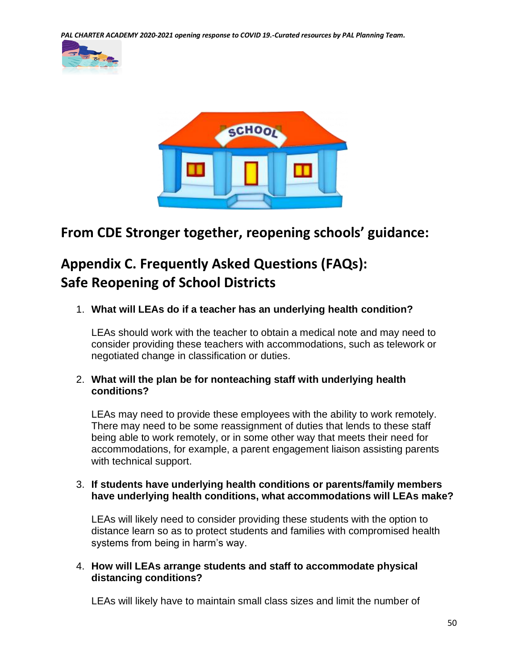*PAL CHARTER ACADEMY 2020-2021 opening response to COVID 19.-Curated resources by PAL Planning Team.*





# **From CDE Stronger together, reopening schools' guidance:**

# **Appendix C. Frequently Asked Questions (FAQs): Safe Reopening of School Districts**

1. **What will LEAs do if a teacher has an underlying health condition?**

LEAs should work with the teacher to obtain a medical note and may need to consider providing these teachers with accommodations, such as telework or negotiated change in classification or duties.

#### 2. **What will the plan be for nonteaching staff with underlying health conditions?**

LEAs may need to provide these employees with the ability to work remotely. There may need to be some reassignment of duties that lends to these staff being able to work remotely, or in some other way that meets their need for accommodations, for example, a parent engagement liaison assisting parents with technical support.

#### 3. **If students have underlying health conditions or parents/family members have underlying health conditions, what accommodations will LEAs make?**

LEAs will likely need to consider providing these students with the option to distance learn so as to protect students and families with compromised health systems from being in harm's way.

#### 4. **How will LEAs arrange students and staff to accommodate physical distancing conditions?**

LEAs will likely have to maintain small class sizes and limit the number of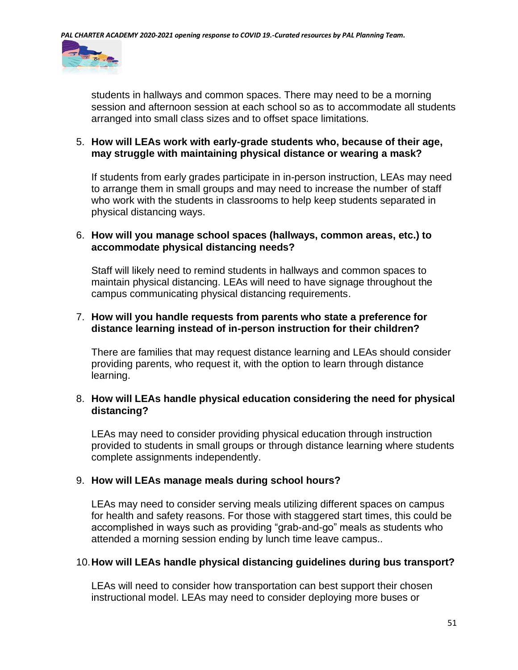

students in hallways and common spaces. There may need to be a morning session and afternoon session at each school so as to accommodate all students arranged into small class sizes and to offset space limitations.

#### 5. **How will LEAs work with early-grade students who, because of their age, may struggle with maintaining physical distance or wearing a mask?**

If students from early grades participate in in-person instruction, LEAs may need to arrange them in small groups and may need to increase the number of staff who work with the students in classrooms to help keep students separated in physical distancing ways.

#### 6. **How will you manage school spaces (hallways, common areas, etc.) to accommodate physical distancing needs?**

Staff will likely need to remind students in hallways and common spaces to maintain physical distancing. LEAs will need to have signage throughout the campus communicating physical distancing requirements.

#### 7. **How will you handle requests from parents who state a preference for distance learning instead of in-person instruction for their children?**

There are families that may request distance learning and LEAs should consider providing parents, who request it, with the option to learn through distance learning.

### 8. **How will LEAs handle physical education considering the need for physical distancing?**

LEAs may need to consider providing physical education through instruction provided to students in small groups or through distance learning where students complete assignments independently.

#### 9. **How will LEAs manage meals during school hours?**

LEAs may need to consider serving meals utilizing different spaces on campus for health and safety reasons. For those with staggered start times, this could be accomplished in ways such as providing "grab-and-go" meals as students who attended a morning session ending by lunch time leave campus..

#### 10.**How will LEAs handle physical distancing guidelines during bus transport?**

LEAs will need to consider how transportation can best support their chosen instructional model. LEAs may need to consider deploying more buses or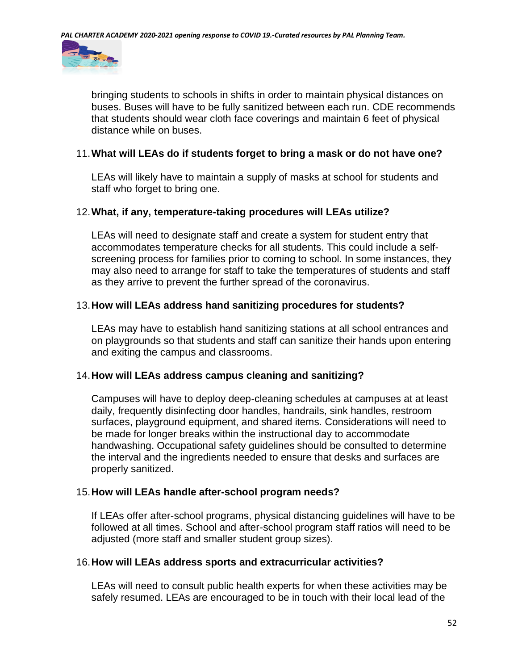

bringing students to schools in shifts in order to maintain physical distances on buses. Buses will have to be fully sanitized between each run. CDE recommends that students should wear cloth face coverings and maintain 6 feet of physical distance while on buses.

#### 11.**What will LEAs do if students forget to bring a mask or do not have one?**

LEAs will likely have to maintain a supply of masks at school for students and staff who forget to bring one.

#### 12.**What, if any, temperature-taking procedures will LEAs utilize?**

LEAs will need to designate staff and create a system for student entry that accommodates temperature checks for all students. This could include a selfscreening process for families prior to coming to school. In some instances, they may also need to arrange for staff to take the temperatures of students and staff as they arrive to prevent the further spread of the coronavirus.

#### 13.**How will LEAs address hand sanitizing procedures for students?**

LEAs may have to establish hand sanitizing stations at all school entrances and on playgrounds so that students and staff can sanitize their hands upon entering and exiting the campus and classrooms.

#### 14.**How will LEAs address campus cleaning and sanitizing?**

Campuses will have to deploy deep-cleaning schedules at campuses at at least daily, frequently disinfecting door handles, handrails, sink handles, restroom surfaces, playground equipment, and shared items. Considerations will need to be made for longer breaks within the instructional day to accommodate handwashing. Occupational safety guidelines should be consulted to determine the interval and the ingredients needed to ensure that desks and surfaces are properly sanitized.

#### 15.**How will LEAs handle after-school program needs?**

If LEAs offer after-school programs, physical distancing guidelines will have to be followed at all times. School and after-school program staff ratios will need to be adjusted (more staff and smaller student group sizes).

#### 16.**How will LEAs address sports and extracurricular activities?**

LEAs will need to consult public health experts for when these activities may be safely resumed. LEAs are encouraged to be in touch with their local lead of the